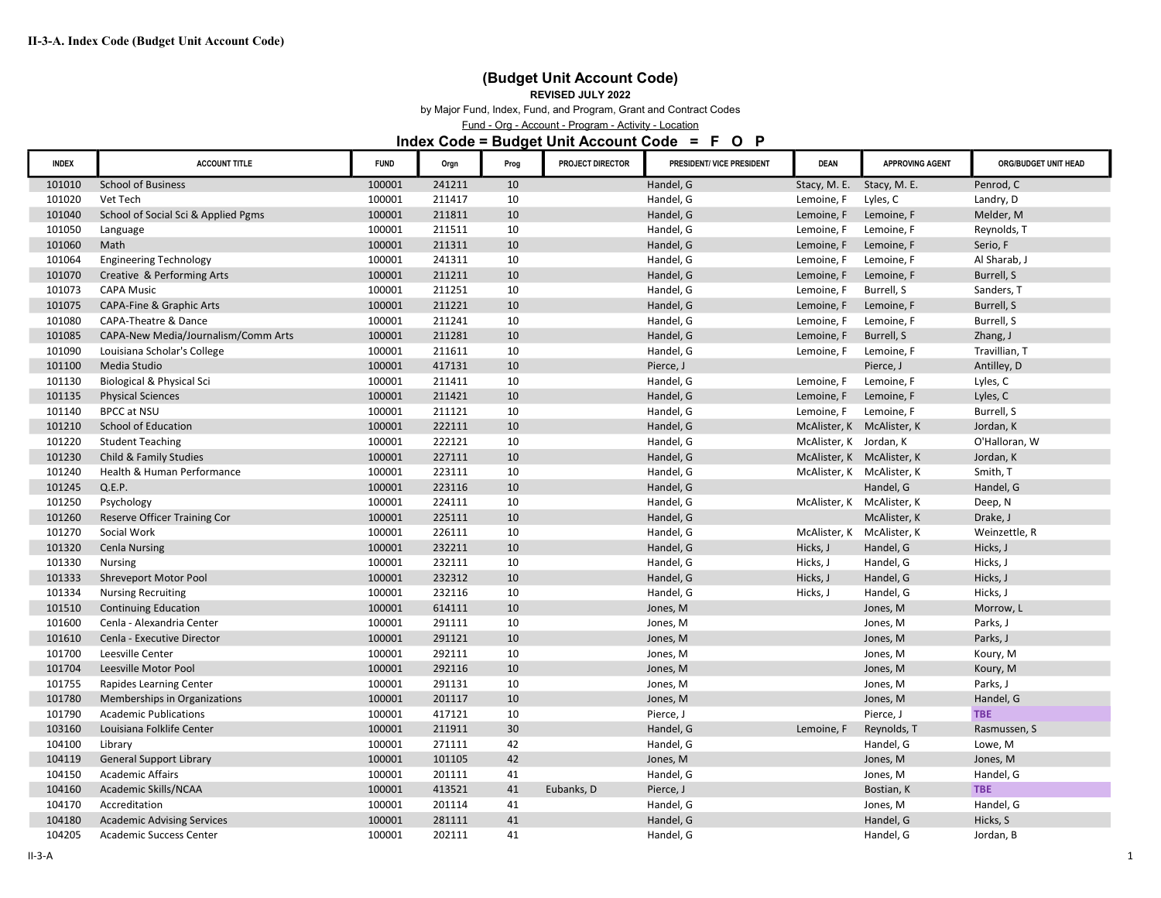# (Budget Unit Account Code)

#### REVISED JULY 2022

by Major Fund, Index, Fund, and Program, Grant and Contract Codes

Fund - Org - Account - Program - Activity - Location

#### Index Code = Budget Unit Account Code = F O P

| <b>INDEX</b> | <b>ACCOUNT TITLE</b>                | <b>FUND</b> | Orgn   | Prog | PROJECT DIRECTOR | PRESIDENT/ VICE PRESIDENT | <b>DEAN</b>               | <b>APPROVING AGENT</b> | ORG/BUDGET UNIT HEAD |
|--------------|-------------------------------------|-------------|--------|------|------------------|---------------------------|---------------------------|------------------------|----------------------|
| 101010       | <b>School of Business</b>           | 100001      | 241211 | 10   |                  | Handel, G                 | Stacy, M. E.              | Stacy, M. E.           | Penrod, C            |
| 101020       | Vet Tech                            | 100001      | 211417 | 10   |                  | Handel, G                 | Lemoine, F                | Lyles, C               | Landry, D            |
| 101040       | School of Social Sci & Applied Pgms | 100001      | 211811 | 10   |                  | Handel, G                 | Lemoine, F                | Lemoine, F             | Melder, M            |
| 101050       | Language                            | 100001      | 211511 | 10   |                  | Handel, G                 | Lemoine, F                | Lemoine, F             | Reynolds, T          |
| 101060       | Math                                | 100001      | 211311 | 10   |                  | Handel, G                 | Lemoine, F                | Lemoine, F             | Serio, F             |
| 101064       | <b>Engineering Technology</b>       | 100001      | 241311 | 10   |                  | Handel, G                 | Lemoine, F                | Lemoine, F             | Al Sharab, J         |
| 101070       | Creative & Performing Arts          | 100001      | 211211 | 10   |                  | Handel, G                 | Lemoine, F                | Lemoine, F             | Burrell, S           |
| 101073       | <b>CAPA Music</b>                   | 100001      | 211251 | 10   |                  | Handel, G                 | Lemoine, F                | Burrell, S             | Sanders, T           |
| 101075       | <b>CAPA-Fine &amp; Graphic Arts</b> | 100001      | 211221 | 10   |                  | Handel, G                 | Lemoine, F                | Lemoine, F             | Burrell, S           |
| 101080       | <b>CAPA-Theatre &amp; Dance</b>     | 100001      | 211241 | 10   |                  | Handel, G                 | Lemoine, F                | Lemoine, F             | Burrell, S           |
| 101085       | CAPA-New Media/Journalism/Comm Arts | 100001      | 211281 | 10   |                  | Handel, G                 | Lemoine, F                | Burrell, S             | Zhang, J             |
| 101090       | Louisiana Scholar's College         | 100001      | 211611 | 10   |                  | Handel, G                 | Lemoine, F                | Lemoine, F             | Travillian, T        |
| 101100       | Media Studio                        | 100001      | 417131 | 10   |                  | Pierce, J                 |                           | Pierce, J              | Antilley, D          |
| 101130       | Biological & Physical Sci           | 100001      | 211411 | 10   |                  | Handel, G                 | Lemoine, F                | Lemoine, F             | Lyles, C             |
| 101135       | <b>Physical Sciences</b>            | 100001      | 211421 | 10   |                  | Handel, G                 | Lemoine, F                | Lemoine, F             | Lyles, C             |
| 101140       | BPCC at NSU                         | 100001      | 211121 | 10   |                  | Handel, G                 | Lemoine, F                | Lemoine, F             | Burrell, S           |
| 101210       | School of Education                 | 100001      | 222111 | 10   |                  | Handel, G                 | McAlister, K McAlister, K |                        | Jordan, K            |
| 101220       | <b>Student Teaching</b>             | 100001      | 222121 | 10   |                  | Handel, G                 | McAlister, K Jordan, K    |                        | O'Halloran, W        |
| 101230       | Child & Family Studies              | 100001      | 227111 | 10   |                  | Handel, G                 | McAlister, K McAlister, K |                        | Jordan, K            |
| 101240       | Health & Human Performance          | 100001      | 223111 | 10   |                  | Handel, G                 | McAlister, K McAlister, K |                        | Smith, T             |
| 101245       | Q.E.P.                              | 100001      | 223116 | 10   |                  | Handel, G                 |                           | Handel, G              | Handel, G            |
| 101250       | Psychology                          | 100001      | 224111 | 10   |                  | Handel, G                 | McAlister, K McAlister, K |                        | Deep, N              |
| 101260       | Reserve Officer Training Cor        | 100001      | 225111 | 10   |                  | Handel, G                 |                           | McAlister, K           | Drake, J             |
| 101270       | Social Work                         | 100001      | 226111 | 10   |                  | Handel, G                 | McAlister, K McAlister, K |                        | Weinzettle, R        |
| 101320       | <b>Cenla Nursing</b>                | 100001      | 232211 | 10   |                  | Handel, G                 | Hicks, J                  | Handel, G              | Hicks, J             |
| 101330       | <b>Nursing</b>                      | 100001      | 232111 | 10   |                  | Handel, G                 | Hicks, J                  | Handel, G              | Hicks, J             |
| 101333       | Shreveport Motor Pool               | 100001      | 232312 | 10   |                  | Handel, G                 | Hicks, J                  | Handel, G              | Hicks, J             |
| 101334       | <b>Nursing Recruiting</b>           | 100001      | 232116 | 10   |                  | Handel, G                 | Hicks, J                  | Handel, G              | Hicks, J             |
| 101510       | <b>Continuing Education</b>         | 100001      | 614111 | 10   |                  | Jones, M                  |                           | Jones, M               | Morrow, L            |
| 101600       | Cenla - Alexandria Center           | 100001      | 291111 | 10   |                  | Jones, M                  |                           | Jones, M               | Parks, J             |
| 101610       | Cenla - Executive Director          | 100001      | 291121 | 10   |                  | Jones, M                  |                           | Jones, M               | Parks, J             |
| 101700       | Leesville Center                    | 100001      | 292111 | 10   |                  | Jones, M                  |                           | Jones, M               | Koury, M             |
| 101704       | Leesville Motor Pool                | 100001      | 292116 | 10   |                  | Jones, M                  |                           | Jones, M               | Koury, M             |
| 101755       | Rapides Learning Center             | 100001      | 291131 | 10   |                  | Jones, M                  |                           | Jones, M               | Parks, J             |
| 101780       | Memberships in Organizations        | 100001      | 201117 | 10   |                  | Jones, M                  |                           | Jones, M               | Handel, G            |
| 101790       | <b>Academic Publications</b>        | 100001      | 417121 | 10   |                  | Pierce, J                 |                           | Pierce, J              | <b>TBE</b>           |
| 103160       | Louisiana Folklife Center           | 100001      | 211911 | 30   |                  | Handel, G                 | Lemoine, F                | Reynolds, T            | Rasmussen, S         |
| 104100       | Library                             | 100001      | 271111 | 42   |                  | Handel, G                 |                           | Handel, G              | Lowe, M              |
| 104119       | <b>General Support Library</b>      | 100001      | 101105 | 42   |                  | Jones, M                  |                           | Jones, M               | Jones, M             |
| 104150       | <b>Academic Affairs</b>             | 100001      | 201111 | 41   |                  | Handel, G                 |                           | Jones, M               | Handel, G            |
| 104160       | Academic Skills/NCAA                | 100001      | 413521 | 41   | Eubanks, D       | Pierce, J                 |                           | Bostian, K             | <b>TBE</b>           |
| 104170       | Accreditation                       | 100001      | 201114 | 41   |                  | Handel, G                 |                           | Jones, M               | Handel, G            |
| 104180       | <b>Academic Advising Services</b>   | 100001      | 281111 | 41   |                  | Handel, G                 |                           | Handel, G              | Hicks, S             |
| 104205       | Academic Success Center             | 100001      | 202111 | 41   |                  | Handel, G                 |                           | Handel, G              | Jordan, B            |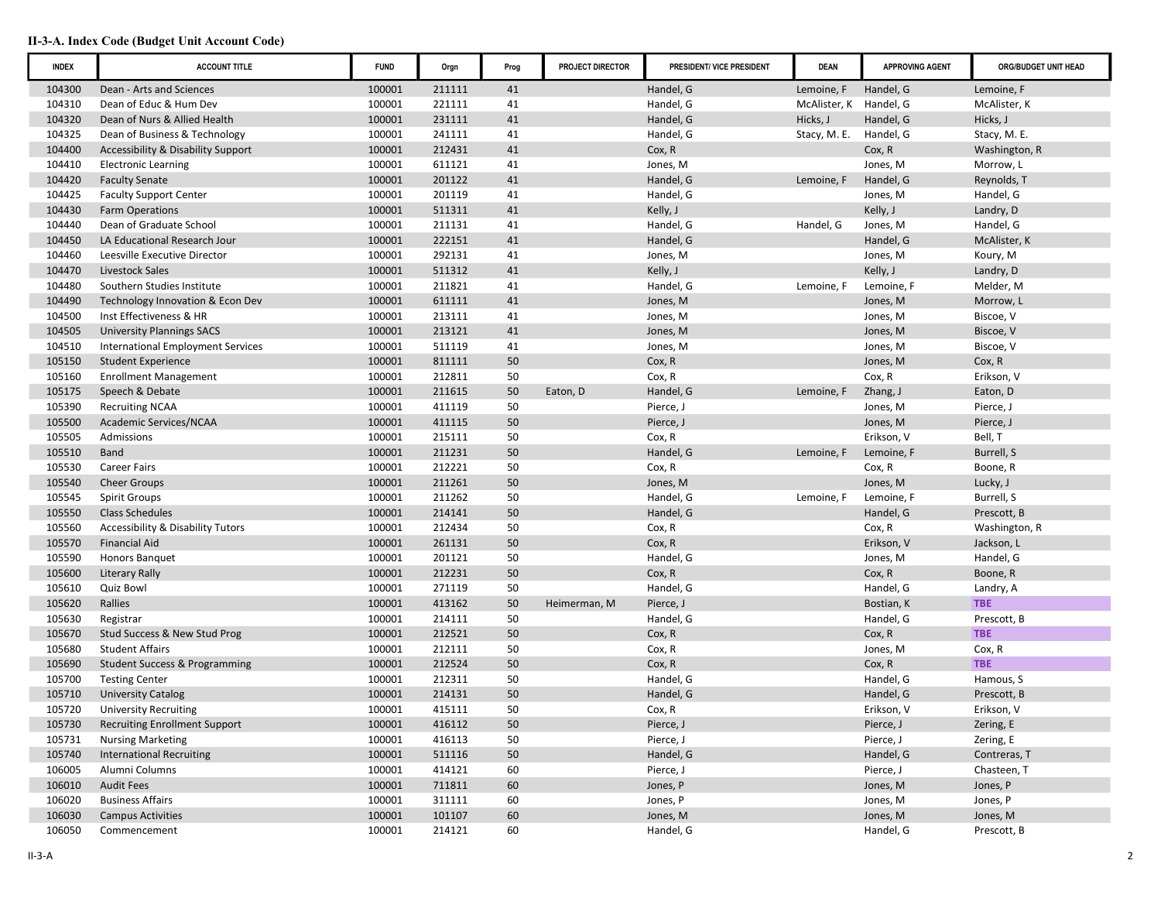| <b>INDEX</b> | <b>ACCOUNT TITLE</b>                          | <b>FUND</b> | Orgn   | Prog | PROJECT DIRECTOR | PRESIDENT/ VICE PRESIDENT | <b>DEAN</b>  | <b>APPROVING AGENT</b> | ORG/BUDGET UNIT HEAD |
|--------------|-----------------------------------------------|-------------|--------|------|------------------|---------------------------|--------------|------------------------|----------------------|
| 104300       | Dean - Arts and Sciences                      | 100001      | 211111 | 41   |                  | Handel, G                 | Lemoine, F   | Handel, G              | Lemoine, F           |
| 104310       | Dean of Educ & Hum Dev                        | 100001      | 221111 | 41   |                  | Handel, G                 | McAlister, K | Handel, G              | McAlister, K         |
| 104320       | Dean of Nurs & Allied Health                  | 100001      | 231111 | 41   |                  | Handel, G                 | Hicks, J     | Handel, G              | Hicks, J             |
| 104325       | Dean of Business & Technology                 | 100001      | 241111 | 41   |                  | Handel, G                 | Stacy, M. E. | Handel, G              | Stacy, M. E.         |
| 104400       | <b>Accessibility &amp; Disability Support</b> | 100001      | 212431 | 41   |                  | Cox, R                    |              | Cox, R                 | Washington, R        |
| 104410       | <b>Electronic Learning</b>                    | 100001      | 611121 | 41   |                  | Jones, M                  |              | Jones, M               | Morrow, L            |
| 104420       | <b>Faculty Senate</b>                         | 100001      | 201122 | 41   |                  | Handel, G                 | Lemoine, F   | Handel, G              | Reynolds, T          |
| 104425       | <b>Faculty Support Center</b>                 | 100001      | 201119 | 41   |                  | Handel, G                 |              | Jones, M               | Handel, G            |
| 104430       | <b>Farm Operations</b>                        | 100001      | 511311 | 41   |                  | Kelly, J                  |              | Kelly, J               | Landry, D            |
| 104440       | Dean of Graduate School                       | 100001      | 211131 | 41   |                  | Handel, G                 | Handel, G    | Jones, M               | Handel, G            |
| 104450       | LA Educational Research Jour                  | 100001      | 222151 | 41   |                  | Handel, G                 |              | Handel, G              | McAlister, K         |
| 104460       | Leesville Executive Director                  | 100001      | 292131 | 41   |                  | Jones, M                  |              | Jones, M               | Koury, M             |
| 104470       | Livestock Sales                               | 100001      | 511312 | 41   |                  | Kelly, J                  |              | Kelly, J               | Landry, D            |
| 104480       | Southern Studies Institute                    | 100001      | 211821 | 41   |                  | Handel, G                 | Lemoine, F   | Lemoine, F             | Melder, M            |
| 104490       | Technology Innovation & Econ Dev              | 100001      | 611111 | 41   |                  | Jones, M                  |              | Jones, M               | Morrow, L            |
| 104500       | Inst Effectiveness & HR                       | 100001      | 213111 | 41   |                  | Jones, M                  |              | Jones, M               | Biscoe, V            |
| 104505       | <b>University Plannings SACS</b>              | 100001      | 213121 | 41   |                  | Jones, M                  |              | Jones, M               | Biscoe, V            |
| 104510       | <b>International Employment Services</b>      | 100001      | 511119 | 41   |                  | Jones, M                  |              | Jones, M               | Biscoe, V            |
| 105150       | <b>Student Experience</b>                     | 100001      | 811111 | 50   |                  | Cox, R                    |              | Jones, M               | Cox, R               |
| 105160       | <b>Enrollment Management</b>                  | 100001      | 212811 | 50   |                  | Cox, R                    |              | Cox, R                 | Erikson, V           |
| 105175       | Speech & Debate                               | 100001      | 211615 | 50   | Eaton, D         | Handel, G                 | Lemoine, F   | Zhang, J               | Eaton, D             |
| 105390       | <b>Recruiting NCAA</b>                        | 100001      | 411119 | 50   |                  | Pierce, J                 |              | Jones, M               | Pierce, J            |
| 105500       | Academic Services/NCAA                        | 100001      | 411115 | 50   |                  | Pierce, J                 |              | Jones, M               | Pierce, J            |
| 105505       | Admissions                                    | 100001      | 215111 | 50   |                  | Cox, R                    |              | Erikson, V             | Bell, T              |
| 105510       | <b>Band</b>                                   | 100001      | 211231 | 50   |                  | Handel, G                 | Lemoine, F   | Lemoine, F             | Burrell, S           |
| 105530       | <b>Career Fairs</b>                           | 100001      | 212221 | 50   |                  | Cox, R                    |              | Cox, R                 | Boone, R             |
| 105540       | <b>Cheer Groups</b>                           | 100001      | 211261 | 50   |                  | Jones, M                  |              | Jones, M               | Lucky, J             |
| 105545       | <b>Spirit Groups</b>                          | 100001      | 211262 | 50   |                  | Handel, G                 | Lemoine, F   | Lemoine, F             | Burrell, S           |
| 105550       | <b>Class Schedules</b>                        | 100001      | 214141 | 50   |                  | Handel, G                 |              | Handel, G              | Prescott, B          |
| 105560       | <b>Accessibility &amp; Disability Tutors</b>  | 100001      | 212434 | 50   |                  | Cox, R                    |              | Cox, R                 | Washington, R        |
| 105570       | <b>Financial Aid</b>                          | 100001      | 261131 | 50   |                  | Cox, R                    |              | Erikson, V             | Jackson, L           |
| 105590       | Honors Banquet                                | 100001      | 201121 | 50   |                  | Handel, G                 |              | Jones, M               | Handel, G            |
| 105600       | <b>Literary Rally</b>                         | 100001      | 212231 | 50   |                  | Cox, R                    |              | Cox, R                 | Boone, R             |
| 105610       | Quiz Bowl                                     | 100001      | 271119 | 50   |                  | Handel, G                 |              | Handel, G              | Landry, A            |
| 105620       | Rallies                                       | 100001      | 413162 | 50   | Heimerman, M     | Pierce, J                 |              | Bostian, K             | <b>TBE</b>           |
| 105630       | Registrar                                     | 100001      | 214111 | 50   |                  | Handel, G                 |              | Handel, G              | Prescott, B          |
| 105670       | Stud Success & New Stud Prog                  | 100001      | 212521 | 50   |                  | Cox, R                    |              | Cox, R                 | <b>TBE</b>           |
| 105680       | <b>Student Affairs</b>                        | 100001      | 212111 | 50   |                  | Cox, R                    |              | Jones, M               | Cox, R               |
| 105690       | <b>Student Success &amp; Programming</b>      | 100001      | 212524 | 50   |                  | Cox, R                    |              | Cox, R                 | <b>TBE</b>           |
| 105700       | <b>Testing Center</b>                         | 100001      | 212311 | 50   |                  | Handel, G                 |              | Handel, G              | Hamous, S            |
| 105710       | <b>University Catalog</b>                     | 100001      | 214131 | 50   |                  | Handel, G                 |              | Handel, G              | Prescott, B          |
| 105720       | <b>University Recruiting</b>                  | 100001      | 415111 | 50   |                  | Cox, R                    |              | Erikson, V             | Erikson, V           |
| 105730       | <b>Recruiting Enrollment Support</b>          | 100001      | 416112 | 50   |                  | Pierce, J                 |              | Pierce, J              | Zering, E            |
| 105731       | <b>Nursing Marketing</b>                      | 100001      | 416113 | 50   |                  | Pierce, J                 |              | Pierce, J              | Zering, E            |
| 105740       | <b>International Recruiting</b>               | 100001      | 511116 | 50   |                  | Handel, G                 |              | Handel, G              | Contreras, T         |
| 106005       | Alumni Columns                                | 100001      | 414121 | 60   |                  | Pierce, J                 |              | Pierce, J              | Chasteen, T          |
| 106010       | <b>Audit Fees</b>                             | 100001      | 711811 | 60   |                  | Jones, P                  |              | Jones, M               | Jones, P             |
| 106020       | <b>Business Affairs</b>                       | 100001      | 311111 | 60   |                  | Jones, P                  |              | Jones, M               | Jones, P             |
| 106030       | <b>Campus Activities</b>                      | 100001      | 101107 | 60   |                  | Jones, M                  |              | Jones, M               | Jones, M             |
| 106050       | Commencement                                  | 100001      | 214121 | 60   |                  | Handel, G                 |              | Handel, G              | Prescott, B          |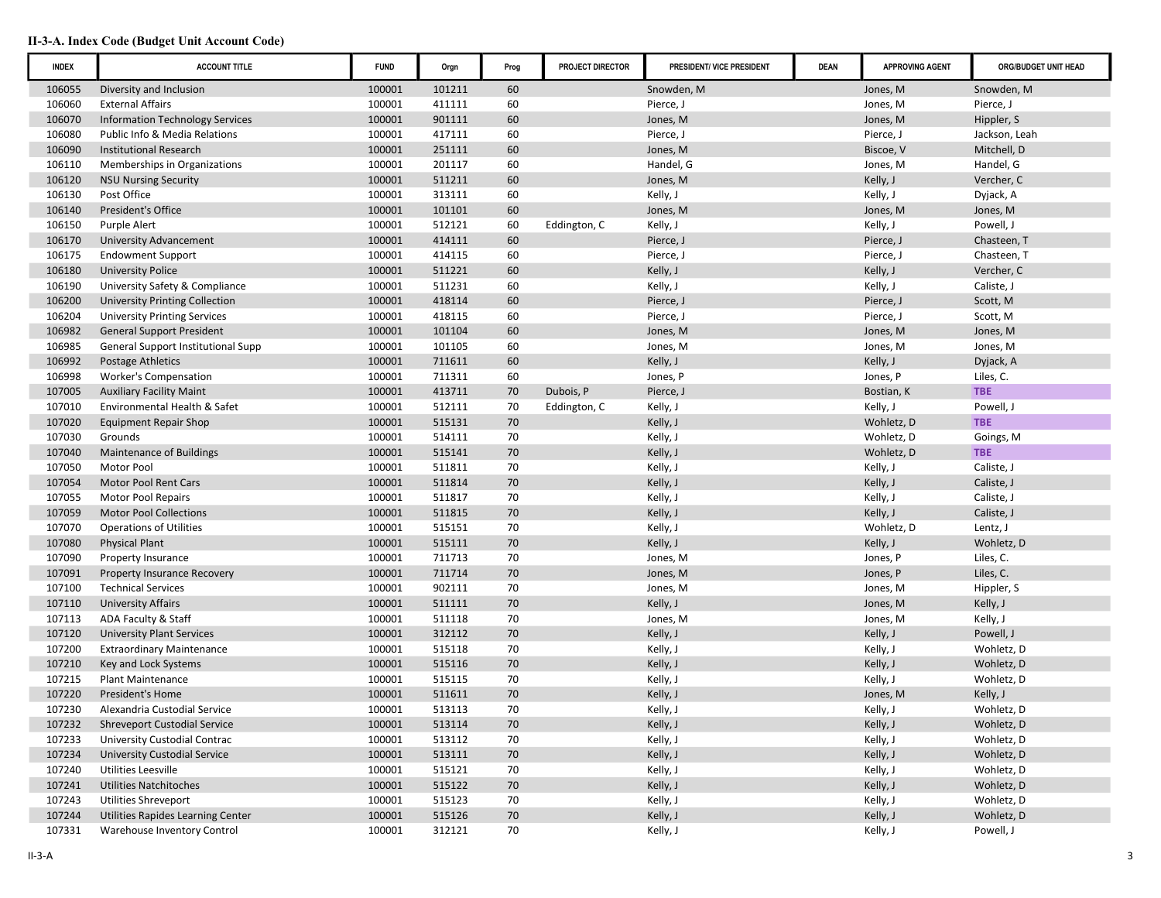| <b>INDEX</b> | <b>ACCOUNT TITLE</b>                  | <b>FUND</b> | Orgn   | Prog | PROJECT DIRECTOR | PRESIDENT/ VICE PRESIDENT | <b>DEAN</b> | <b>APPROVING AGENT</b> | ORG/BUDGET UNIT HEAD |
|--------------|---------------------------------------|-------------|--------|------|------------------|---------------------------|-------------|------------------------|----------------------|
| 106055       | Diversity and Inclusion               | 100001      | 101211 | 60   |                  | Snowden, M                |             | Jones, M               | Snowden, M           |
| 106060       | <b>External Affairs</b>               | 100001      | 411111 | 60   |                  | Pierce, J                 |             | Jones, M               | Pierce, J            |
| 106070       | Information Technology Services       | 100001      | 901111 | 60   |                  | Jones, M                  |             | Jones, M               | Hippler, S           |
| 106080       | Public Info & Media Relations         | 100001      | 417111 | 60   |                  | Pierce, J                 |             | Pierce, J              | Jackson, Leah        |
| 106090       | <b>Institutional Research</b>         | 100001      | 251111 | 60   |                  | Jones, M                  |             | Biscoe, V              | Mitchell, D          |
| 106110       | Memberships in Organizations          | 100001      | 201117 | 60   |                  | Handel, G                 |             | Jones, M               | Handel, G            |
| 106120       | <b>NSU Nursing Security</b>           | 100001      | 511211 | 60   |                  | Jones, M                  |             | Kelly, J               | Vercher, C           |
| 106130       | Post Office                           | 100001      | 313111 | 60   |                  | Kelly, J                  |             | Kelly, J               | Dyjack, A            |
| 106140       | President's Office                    | 100001      | 101101 | 60   |                  | Jones, M                  |             | Jones, M               | Jones, M             |
| 106150       | Purple Alert                          | 100001      | 512121 | 60   | Eddington, C     | Kelly, J                  |             | Kelly, J               | Powell, J            |
| 106170       | University Advancement                | 100001      | 414111 | 60   |                  | Pierce, J                 |             | Pierce, J              | Chasteen, T          |
| 106175       | <b>Endowment Support</b>              | 100001      | 414115 | 60   |                  | Pierce, J                 |             | Pierce, J              | Chasteen, T          |
| 106180       | <b>University Police</b>              | 100001      | 511221 | 60   |                  | Kelly, J                  |             | Kelly, J               | Vercher, C           |
| 106190       | University Safety & Compliance        | 100001      | 511231 | 60   |                  | Kelly, J                  |             | Kelly, J               | Caliste, J           |
| 106200       | <b>University Printing Collection</b> | 100001      | 418114 | 60   |                  | Pierce, J                 |             | Pierce, J              | Scott, M             |
| 106204       | <b>University Printing Services</b>   | 100001      | 418115 | 60   |                  | Pierce, J                 |             | Pierce, J              | Scott, M             |
| 106982       | <b>General Support President</b>      | 100001      | 101104 | 60   |                  | Jones, M                  |             | Jones, M               | Jones, M             |
| 106985       | General Support Institutional Supp    | 100001      | 101105 | 60   |                  | Jones, M                  |             | Jones, M               | Jones, M             |
| 106992       | Postage Athletics                     | 100001      | 711611 | 60   |                  | Kelly, J                  |             | Kelly, J               | Dyjack, A            |
| 106998       | <b>Worker's Compensation</b>          | 100001      | 711311 | 60   |                  | Jones, P                  |             | Jones, P               | Liles, C.            |
| 107005       | <b>Auxiliary Facility Maint</b>       | 100001      | 413711 | 70   | Dubois, P        | Pierce, J                 |             | Bostian, K             | <b>TBE</b>           |
| 107010       | Environmental Health & Safet          | 100001      | 512111 | 70   | Eddington, C     | Kelly, J                  |             | Kelly, J               | Powell, J            |
| 107020       | <b>Equipment Repair Shop</b>          | 100001      | 515131 | 70   |                  | Kelly, J                  |             | Wohletz, D             | <b>TBE</b>           |
| 107030       | Grounds                               | 100001      | 514111 | 70   |                  | Kelly, J                  |             | Wohletz, D             | Goings, M            |
| 107040       | <b>Maintenance of Buildings</b>       | 100001      | 515141 | 70   |                  | Kelly, J                  |             | Wohletz, D             | <b>TBE</b>           |
| 107050       | Motor Pool                            | 100001      | 511811 | 70   |                  | Kelly, J                  |             | Kelly, J               | Caliste, J           |
| 107054       | <b>Motor Pool Rent Cars</b>           | 100001      | 511814 | 70   |                  | Kelly, J                  |             | Kelly, J               | Caliste, J           |
| 107055       | Motor Pool Repairs                    | 100001      | 511817 | 70   |                  | Kelly, J                  |             | Kelly, J               | Caliste, J           |
| 107059       | <b>Motor Pool Collections</b>         | 100001      | 511815 | 70   |                  | Kelly, J                  |             | Kelly, J               | Caliste, J           |
| 107070       | <b>Operations of Utilities</b>        | 100001      | 515151 | 70   |                  | Kelly, J                  |             | Wohletz, D             | Lentz, J             |
| 107080       | <b>Physical Plant</b>                 | 100001      | 515111 | 70   |                  | Kelly, J                  |             | Kelly, J               | Wohletz, D           |
| 107090       | Property Insurance                    | 100001      | 711713 | 70   |                  | Jones, M                  |             | Jones, P               | Liles, C.            |
| 107091       | <b>Property Insurance Recovery</b>    | 100001      | 711714 | 70   |                  | Jones, M                  |             | Jones, P               | Liles, C.            |
| 107100       | <b>Technical Services</b>             | 100001      | 902111 | 70   |                  | Jones, M                  |             | Jones, M               | Hippler, S           |
| 107110       | <b>University Affairs</b>             | 100001      | 511111 | 70   |                  | Kelly, J                  |             | Jones, M               | Kelly, J             |
| 107113       | ADA Faculty & Staff                   | 100001      | 511118 | 70   |                  | Jones, M                  |             | Jones, M               | Kelly, J             |
| 107120       | <b>University Plant Services</b>      | 100001      | 312112 | 70   |                  | Kelly, J                  |             | Kelly, J               | Powell, J            |
| 107200       | <b>Extraordinary Maintenance</b>      | 100001      | 515118 | 70   |                  | Kelly, J                  |             | Kelly, J               | Wohletz, D           |
| 107210       | Key and Lock Systems                  | 100001      | 515116 | 70   |                  | Kelly, J                  |             | Kelly, J               | Wohletz, D           |
| 107215       | <b>Plant Maintenance</b>              | 100001      | 515115 | 70   |                  | Kelly, J                  |             | Kelly, J               | Wohletz, D           |
| 107220       | President's Home                      | 100001      | 511611 | 70   |                  | Kelly, J                  |             | Jones, M               | Kelly, J             |
| 107230       | Alexandria Custodial Service          | 100001      | 513113 | 70   |                  | Kelly, J                  |             | Kelly, J               | Wohletz, D           |
| 107232       | <b>Shreveport Custodial Service</b>   | 100001      | 513114 | 70   |                  | Kelly, J                  |             | Kelly, J               | Wohletz, D           |
| 107233       | University Custodial Contrac          | 100001      | 513112 | 70   |                  | Kelly, J                  |             | Kelly, J               | Wohletz, D           |
| 107234       | <b>University Custodial Service</b>   | 100001      | 513111 | 70   |                  | Kelly, J                  |             | Kelly, J               | Wohletz, D           |
| 107240       | <b>Utilities Leesville</b>            | 100001      | 515121 | 70   |                  | Kelly, J                  |             | Kelly, J               | Wohletz, D           |
| 107241       | <b>Utilities Natchitoches</b>         | 100001      | 515122 | 70   |                  | Kelly, J                  |             | Kelly, J               | Wohletz, D           |
| 107243       | <b>Utilities Shreveport</b>           | 100001      | 515123 | 70   |                  | Kelly, J                  |             | Kelly, J               | Wohletz, D           |
| 107244       | Utilities Rapides Learning Center     | 100001      | 515126 | 70   |                  | Kelly, J                  |             | Kelly, J               | Wohletz, D           |
| 107331       | Warehouse Inventory Control           | 100001      | 312121 | 70   |                  | Kelly, J                  |             | Kelly, J               | Powell, J            |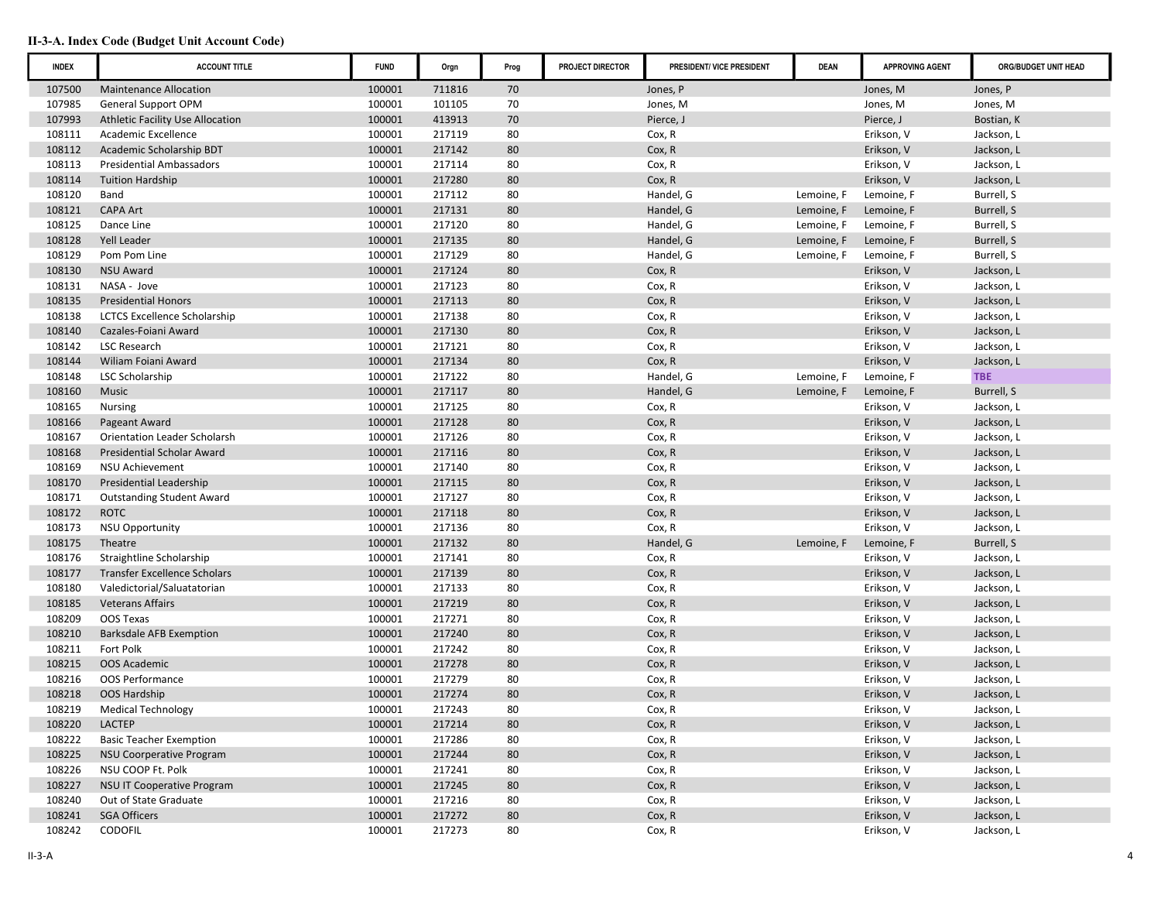| <b>INDEX</b> | <b>ACCOUNT TITLE</b>                | <b>FUND</b> | Orgn   | Prog | PROJECT DIRECTOR | PRESIDENT/ VICE PRESIDENT | <b>DEAN</b> | <b>APPROVING AGENT</b> | ORG/BUDGET UNIT HEAD |
|--------------|-------------------------------------|-------------|--------|------|------------------|---------------------------|-------------|------------------------|----------------------|
| 107500       | <b>Maintenance Allocation</b>       | 100001      | 711816 | 70   |                  | Jones, P                  |             | Jones, M               | Jones, P             |
| 107985       | <b>General Support OPM</b>          | 100001      | 101105 | 70   |                  | Jones, M                  |             | Jones, M               | Jones, M             |
| 107993       | Athletic Facility Use Allocation    | 100001      | 413913 | 70   |                  | Pierce, J                 |             | Pierce, J              | Bostian, K           |
| 108111       | Academic Excellence                 | 100001      | 217119 | 80   |                  | Cox, R                    |             | Erikson, V             | Jackson, L           |
| 108112       | Academic Scholarship BDT            | 100001      | 217142 | 80   |                  | Cox, R                    |             | Erikson, V             | Jackson, L           |
| 108113       | <b>Presidential Ambassadors</b>     | 100001      | 217114 | 80   |                  | Cox, R                    |             | Erikson, V             | Jackson, L           |
| 108114       | <b>Tuition Hardship</b>             | 100001      | 217280 | 80   |                  | Cox, R                    |             | Erikson, V             | Jackson, L           |
| 108120       | Band                                | 100001      | 217112 | 80   |                  | Handel, G                 | Lemoine, F  | Lemoine, F             | Burrell, S           |
| 108121       | <b>CAPA Art</b>                     | 100001      | 217131 | 80   |                  | Handel, G                 | Lemoine, F  | Lemoine, F             | Burrell, S           |
| 108125       | Dance Line                          | 100001      | 217120 | 80   |                  | Handel, G                 | Lemoine, F  | Lemoine, F             | Burrell, S           |
| 108128       | Yell Leader                         | 100001      | 217135 | 80   |                  | Handel, G                 | Lemoine, F  | Lemoine, F             | Burrell, S           |
| 108129       | Pom Pom Line                        | 100001      | 217129 | 80   |                  | Handel, G                 | Lemoine, F  | Lemoine, F             | Burrell, S           |
| 108130       | <b>NSU Award</b>                    | 100001      | 217124 | 80   |                  | Cox, R                    |             | Erikson, V             | Jackson, L           |
| 108131       | NASA - Jove                         | 100001      | 217123 | 80   |                  | Cox, R                    |             | Erikson, V             | Jackson, L           |
| 108135       | <b>Presidential Honors</b>          | 100001      | 217113 | 80   |                  | Cox, R                    |             | Erikson, V             | Jackson, L           |
| 108138       | <b>LCTCS Excellence Scholarship</b> | 100001      | 217138 | 80   |                  | Cox, R                    |             | Erikson, V             | Jackson, L           |
| 108140       | Cazales-Foiani Award                | 100001      | 217130 | 80   |                  | Cox, R                    |             | Erikson, V             | Jackson, L           |
| 108142       | LSC Research                        | 100001      | 217121 | 80   |                  | Cox, R                    |             | Erikson, V             | Jackson, L           |
| 108144       | Wiliam Foiani Award                 | 100001      | 217134 | 80   |                  | Cox, R                    |             | Erikson, V             | Jackson, L           |
| 108148       | LSC Scholarship                     | 100001      | 217122 | 80   |                  | Handel, G                 | Lemoine, F  | Lemoine, F             | <b>TBE</b>           |
| 108160       | Music                               | 100001      | 217117 | 80   |                  | Handel, G                 | Lemoine, F  | Lemoine, F             | Burrell, S           |
| 108165       | <b>Nursing</b>                      | 100001      | 217125 | 80   |                  | Cox, R                    |             | Erikson, V             | Jackson, L           |
| 108166       | Pageant Award                       | 100001      | 217128 | 80   |                  | Cox, R                    |             | Erikson, V             | Jackson, L           |
| 108167       | <b>Orientation Leader Scholarsh</b> | 100001      | 217126 | 80   |                  | Cox, R                    |             | Erikson, V             | Jackson, L           |
| 108168       | <b>Presidential Scholar Award</b>   | 100001      | 217116 | 80   |                  | Cox, R                    |             | Erikson, V             | Jackson, L           |
| 108169       | <b>NSU Achievement</b>              | 100001      | 217140 | 80   |                  | Cox, R                    |             | Erikson, V             | Jackson, L           |
| 108170       | Presidential Leadership             | 100001      | 217115 | 80   |                  | Cox, R                    |             | Erikson, V             | Jackson, L           |
| 108171       | <b>Outstanding Student Award</b>    | 100001      | 217127 | 80   |                  | Cox, R                    |             | Erikson, V             | Jackson, L           |
| 108172       | <b>ROTC</b>                         | 100001      | 217118 | 80   |                  | Cox, R                    |             | Erikson, V             | Jackson, L           |
| 108173       | <b>NSU Opportunity</b>              | 100001      | 217136 | 80   |                  | Cox, R                    |             | Erikson, V             | Jackson, L           |
| 108175       | Theatre                             | 100001      | 217132 | 80   |                  | Handel, G                 | Lemoine, F  | Lemoine, F             | Burrell, S           |
| 108176       | Straightline Scholarship            | 100001      | 217141 | 80   |                  | Cox, R                    |             | Erikson, V             | Jackson, L           |
| 108177       | <b>Transfer Excellence Scholars</b> | 100001      | 217139 | 80   |                  | Cox, R                    |             | Erikson, V             | Jackson, L           |
| 108180       | Valedictorial/Saluatatorian         | 100001      | 217133 | 80   |                  | Cox, R                    |             | Erikson, V             | Jackson, L           |
| 108185       | <b>Veterans Affairs</b>             | 100001      | 217219 | 80   |                  | Cox, R                    |             | Erikson, V             | Jackson, L           |
| 108209       | OOS Texas                           | 100001      | 217271 | 80   |                  | Cox, R                    |             | Erikson, V             | Jackson, L           |
| 108210       | <b>Barksdale AFB Exemption</b>      | 100001      | 217240 | 80   |                  | Cox, R                    |             | Erikson, V             | Jackson, L           |
| 108211       | Fort Polk                           | 100001      | 217242 | 80   |                  | Cox, R                    |             | Erikson, V             | Jackson, L           |
| 108215       | <b>OOS Academic</b>                 | 100001      | 217278 | 80   |                  | Cox, R                    |             | Erikson, V             | Jackson, L           |
| 108216       | OOS Performance                     | 100001      | 217279 | 80   |                  | Cox, R                    |             | Erikson, V             | Jackson, L           |
| 108218       | OOS Hardship                        | 100001      | 217274 | 80   |                  | Cox, R                    |             | Erikson, V             | Jackson, L           |
| 108219       | <b>Medical Technology</b>           | 100001      | 217243 | 80   |                  | Cox, R                    |             | Erikson, V             | Jackson, L           |
| 108220       | LACTEP                              | 100001      | 217214 | 80   |                  | Cox, R                    |             | Erikson, V             | Jackson, L           |
| 108222       | <b>Basic Teacher Exemption</b>      | 100001      | 217286 | 80   |                  | Cox, R                    |             | Erikson, V             | Jackson, L           |
| 108225       | <b>NSU Coorperative Program</b>     | 100001      | 217244 | 80   |                  | Cox, R                    |             | Erikson, V             | Jackson, L           |
| 108226       | NSU COOP Ft. Polk                   | 100001      | 217241 | 80   |                  | Cox, R                    |             | Erikson, V             | Jackson, L           |
| 108227       | <b>NSU IT Cooperative Program</b>   | 100001      | 217245 | 80   |                  | Cox, R                    |             | Erikson, V             | Jackson, L           |
| 108240       | Out of State Graduate               | 100001      | 217216 | 80   |                  | Cox, R                    |             | Erikson, V             | Jackson, L           |
| 108241       | <b>SGA Officers</b>                 | 100001      | 217272 | 80   |                  | Cox, R                    |             | Erikson, V             | Jackson, L           |
| 108242       | <b>CODOFIL</b>                      | 100001      | 217273 | 80   |                  | Cox, R                    |             | Erikson, V             | Jackson, L           |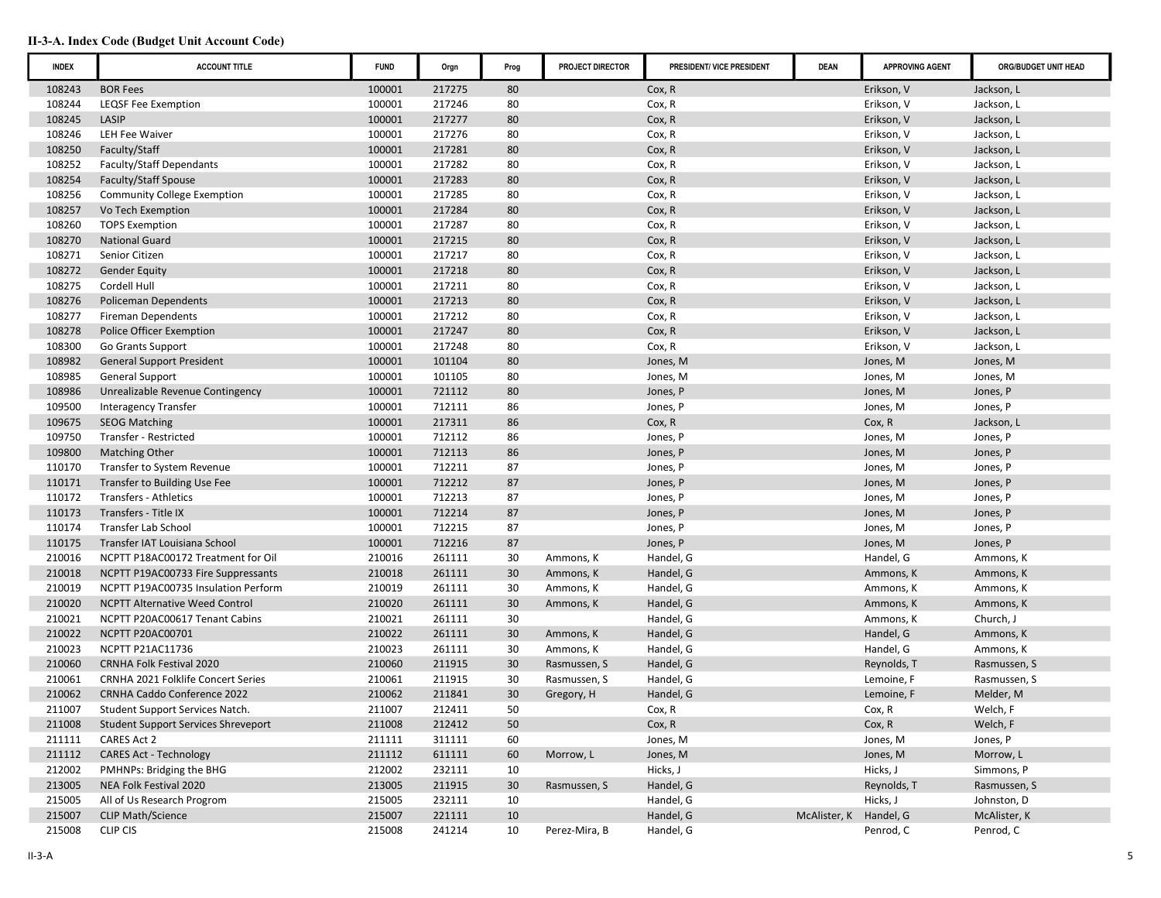| <b>INDEX</b> | <b>ACCOUNT TITLE</b>                       | <b>FUND</b> | Orgn   | Prog | PROJECT DIRECTOR | PRESIDENT/ VICE PRESIDENT | <b>DEAN</b>            | <b>APPROVING AGENT</b> | ORG/BUDGET UNIT HEAD |
|--------------|--------------------------------------------|-------------|--------|------|------------------|---------------------------|------------------------|------------------------|----------------------|
| 108243       | <b>BOR Fees</b>                            | 100001      | 217275 | 80   |                  | Cox, R                    |                        | Erikson, V             | Jackson, L           |
| 108244       | LEQSF Fee Exemption                        | 100001      | 217246 | 80   |                  | Cox, R                    |                        | Erikson, V             | Jackson, L           |
| 108245       | LASIP                                      | 100001      | 217277 | 80   |                  | Cox, R                    |                        | Erikson, V             | Jackson, L           |
| 108246       | LEH Fee Waiver                             | 100001      | 217276 | 80   |                  | Cox, R                    |                        | Erikson, V             | Jackson, L           |
| 108250       | Faculty/Staff                              | 100001      | 217281 | 80   |                  | Cox, R                    |                        | Erikson, V             | Jackson, L           |
| 108252       | <b>Faculty/Staff Dependants</b>            | 100001      | 217282 | 80   |                  | Cox, R                    |                        | Erikson, V             | Jackson, L           |
| 108254       | Faculty/Staff Spouse                       | 100001      | 217283 | 80   |                  | Cox, R                    |                        | Erikson, V             | Jackson, L           |
| 108256       | <b>Community College Exemption</b>         | 100001      | 217285 | 80   |                  | Cox, R                    |                        | Erikson, V             | Jackson, L           |
| 108257       | Vo Tech Exemption                          | 100001      | 217284 | 80   |                  | Cox, R                    |                        | Erikson, V             | Jackson, L           |
| 108260       | <b>TOPS Exemption</b>                      | 100001      | 217287 | 80   |                  | Cox, R                    |                        | Erikson, V             | Jackson, L           |
| 108270       | <b>National Guard</b>                      | 100001      | 217215 | 80   |                  | Cox, R                    |                        | Erikson, V             | Jackson, L           |
| 108271       | Senior Citizen                             | 100001      | 217217 | 80   |                  | Cox, R                    |                        | Erikson, V             | Jackson, L           |
| 108272       | <b>Gender Equity</b>                       | 100001      | 217218 | 80   |                  | Cox, R                    |                        | Erikson, V             | Jackson, L           |
| 108275       | Cordell Hull                               | 100001      | 217211 | 80   |                  | Cox, R                    |                        | Erikson, V             | Jackson, L           |
| 108276       | <b>Policeman Dependents</b>                | 100001      | 217213 | 80   |                  | Cox, R                    |                        | Erikson, V             | Jackson, L           |
| 108277       | <b>Fireman Dependents</b>                  | 100001      | 217212 | 80   |                  | Cox, R                    |                        | Erikson, V             | Jackson, L           |
| 108278       | Police Officer Exemption                   | 100001      | 217247 | 80   |                  | Cox, R                    |                        | Erikson, V             | Jackson, L           |
| 108300       | <b>Go Grants Support</b>                   | 100001      | 217248 | 80   |                  | Cox, R                    |                        | Erikson, V             | Jackson, L           |
| 108982       | <b>General Support President</b>           | 100001      | 101104 | 80   |                  | Jones, M                  |                        | Jones, M               | Jones, M             |
| 108985       | <b>General Support</b>                     | 100001      | 101105 | 80   |                  | Jones, M                  |                        | Jones, M               | Jones, M             |
| 108986       | Unrealizable Revenue Contingency           | 100001      | 721112 | 80   |                  | Jones, P                  |                        | Jones, M               | Jones, P             |
| 109500       | <b>Interagency Transfer</b>                | 100001      | 712111 | 86   |                  | Jones, P                  |                        | Jones, M               | Jones, P             |
| 109675       | <b>SEOG Matching</b>                       | 100001      | 217311 | 86   |                  | Cox, R                    |                        | Cox, R                 | Jackson, L           |
| 109750       | Transfer - Restricted                      | 100001      | 712112 | 86   |                  | Jones, P                  |                        | Jones, M               | Jones, P             |
| 109800       | <b>Matching Other</b>                      | 100001      | 712113 | 86   |                  | Jones, P                  |                        | Jones, M               | Jones, P             |
| 110170       | Transfer to System Revenue                 | 100001      | 712211 | 87   |                  | Jones, P                  |                        | Jones, M               | Jones, P             |
| 110171       | Transfer to Building Use Fee               | 100001      | 712212 | 87   |                  | Jones, P                  |                        | Jones, M               | Jones, P             |
| 110172       | Transfers - Athletics                      | 100001      | 712213 | 87   |                  | Jones, P                  |                        | Jones, M               | Jones, P             |
| 110173       | Transfers - Title IX                       | 100001      | 712214 | 87   |                  | Jones, P                  |                        | Jones, M               | Jones, P             |
| 110174       | Transfer Lab School                        | 100001      | 712215 | 87   |                  | Jones, P                  |                        | Jones, M               | Jones, P             |
| 110175       | Transfer IAT Louisiana School              | 100001      | 712216 | 87   |                  | Jones, P                  |                        | Jones, M               | Jones, P             |
| 210016       | NCPTT P18AC00172 Treatment for Oil         | 210016      | 261111 | 30   | Ammons, K        | Handel, G                 |                        | Handel, G              | Ammons, K            |
| 210018       | NCPTT P19AC00733 Fire Suppressants         | 210018      | 261111 | 30   | Ammons, K        | Handel, G                 |                        | Ammons, K              | Ammons, K            |
| 210019       | NCPTT P19AC00735 Insulation Perform        | 210019      | 261111 | 30   | Ammons, K        | Handel, G                 |                        | Ammons, K              | Ammons, K            |
| 210020       | <b>NCPTT Alternative Weed Control</b>      | 210020      | 261111 | 30   | Ammons, K        | Handel, G                 |                        | Ammons, K              | Ammons, K            |
| 210021       | NCPTT P20AC00617 Tenant Cabins             | 210021      | 261111 | 30   |                  | Handel, G                 |                        | Ammons, K              | Church, J            |
| 210022       | <b>NCPTT P20AC00701</b>                    | 210022      | 261111 | 30   | Ammons, K        | Handel, G                 |                        | Handel, G              | Ammons, K            |
| 210023       | NCPTT P21AC11736                           | 210023      | 261111 | 30   | Ammons, K        | Handel, G                 |                        | Handel, G              | Ammons, K            |
| 210060       | <b>CRNHA Folk Festival 2020</b>            | 210060      | 211915 | 30   | Rasmussen, S     | Handel, G                 |                        | Reynolds, T            | Rasmussen, S         |
| 210061       | <b>CRNHA 2021 Folklife Concert Series</b>  | 210061      | 211915 | 30   | Rasmussen, S     | Handel, G                 |                        | Lemoine, F             | Rasmussen, S         |
| 210062       | <b>CRNHA Caddo Conference 2022</b>         | 210062      | 211841 | 30   | Gregory, H       | Handel, G                 |                        | Lemoine, F             | Melder, M            |
| 211007       | Student Support Services Natch.            | 211007      | 212411 | 50   |                  | Cox, R                    |                        | Cox, R                 | Welch, F             |
| 211008       | <b>Student Support Services Shreveport</b> | 211008      | 212412 | 50   |                  | Cox, R                    |                        | Cox, R                 | Welch, F             |
| 211111       | CARES Act 2                                | 211111      | 311111 | 60   |                  | Jones, M                  |                        | Jones, M               | Jones, P             |
| 211112       | <b>CARES Act - Technology</b>              | 211112      | 611111 | 60   | Morrow, L        | Jones, M                  |                        | Jones, M               | Morrow, L            |
| 212002       | PMHNPs: Bridging the BHG                   | 212002      | 232111 | 10   |                  | Hicks, J                  |                        | Hicks, J               | Simmons, P           |
| 213005       | NEA Folk Festival 2020                     | 213005      | 211915 | 30   | Rasmussen, S     | Handel, G                 |                        | Reynolds, T            | Rasmussen, S         |
| 215005       | All of Us Research Progrom                 | 215005      | 232111 | 10   |                  | Handel, G                 |                        | Hicks, J               | Johnston, D          |
| 215007       | <b>CLIP Math/Science</b>                   | 215007      | 221111 | 10   |                  | Handel, G                 | McAlister, K Handel, G |                        | McAlister, K         |
| 215008       | <b>CLIP CIS</b>                            | 215008      | 241214 | 10   | Perez-Mira, B    | Handel, G                 |                        | Penrod, C              | Penrod, C            |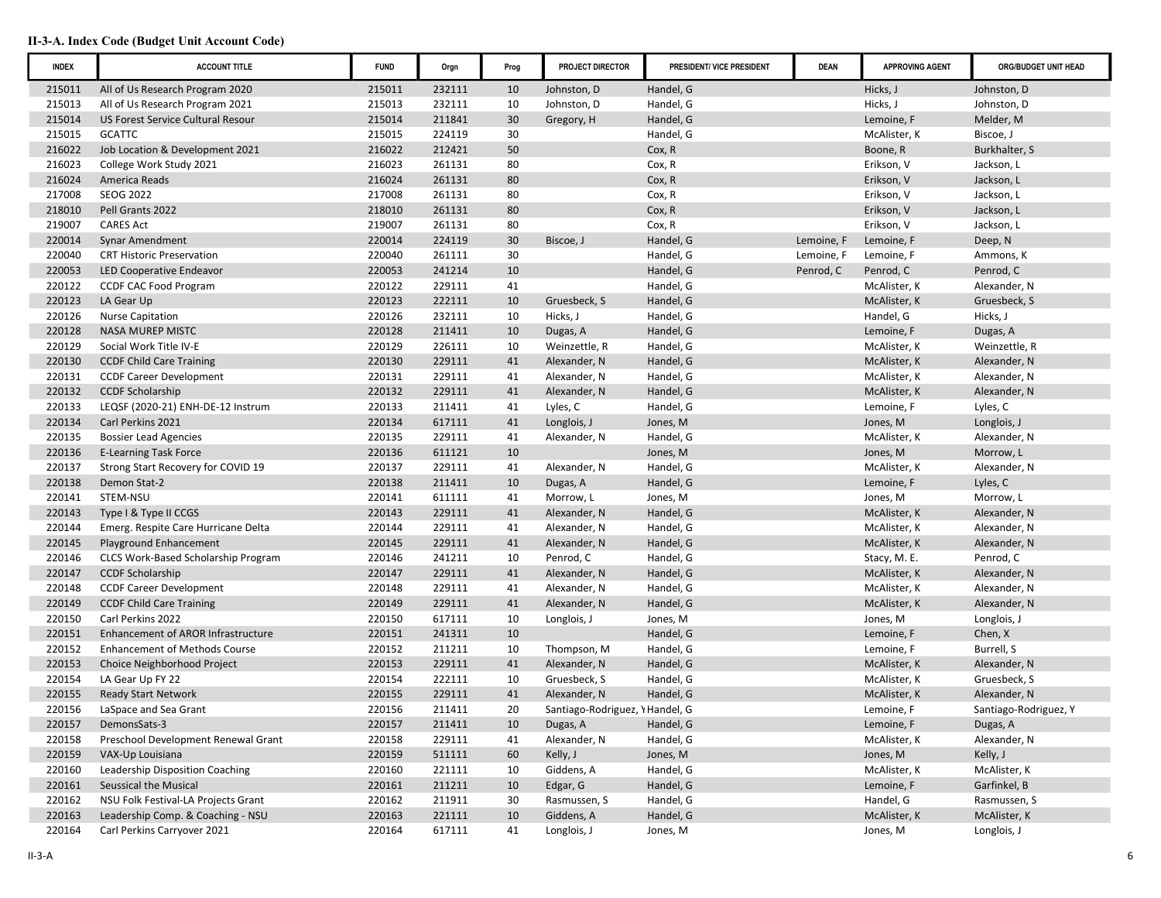| <b>INDEX</b> | <b>ACCOUNT TITLE</b>                 | <b>FUND</b> | Orgn   | Prog | PROJECT DIRECTOR                | PRESIDENT/ VICE PRESIDENT | <b>DEAN</b> | <b>APPROVING AGENT</b> | ORG/BUDGET UNIT HEAD  |
|--------------|--------------------------------------|-------------|--------|------|---------------------------------|---------------------------|-------------|------------------------|-----------------------|
| 215011       | All of Us Research Program 2020      | 215011      | 232111 | 10   | Johnston, D                     | Handel, G                 |             | Hicks, J               | Johnston, D           |
| 215013       | All of Us Research Program 2021      | 215013      | 232111 | 10   | Johnston, D                     | Handel, G                 |             | Hicks, J               | Johnston, D           |
| 215014       | US Forest Service Cultural Resour    | 215014      | 211841 | 30   | Gregory, H                      | Handel, G                 |             | Lemoine, F             | Melder, M             |
| 215015       | <b>GCATTC</b>                        | 215015      | 224119 | 30   |                                 | Handel, G                 |             | McAlister, K           | Biscoe, J             |
| 216022       | Job Location & Development 2021      | 216022      | 212421 | 50   |                                 | Cox, R                    |             | Boone, R               | Burkhalter, S         |
| 216023       | College Work Study 2021              | 216023      | 261131 | 80   |                                 | Cox, R                    |             | Erikson, V             | Jackson, L            |
| 216024       | America Reads                        | 216024      | 261131 | 80   |                                 | Cox, R                    |             | Erikson, V             | Jackson, L            |
| 217008       | <b>SEOG 2022</b>                     | 217008      | 261131 | 80   |                                 | Cox, R                    |             | Erikson, V             | Jackson, L            |
| 218010       | Pell Grants 2022                     | 218010      | 261131 | 80   |                                 | Cox, R                    |             | Erikson, V             | Jackson, L            |
| 219007       | <b>CARES Act</b>                     | 219007      | 261131 | 80   |                                 | Cox, R                    |             | Erikson, V             | Jackson, L            |
| 220014       | Synar Amendment                      | 220014      | 224119 | 30   | Biscoe, J                       | Handel, G                 | Lemoine, F  | Lemoine, F             | Deep, N               |
| 220040       | <b>CRT Historic Preservation</b>     | 220040      | 261111 | 30   |                                 | Handel, G                 | Lemoine, F  | Lemoine, F             | Ammons, K             |
| 220053       | <b>LED Cooperative Endeavor</b>      | 220053      | 241214 | 10   |                                 | Handel, G                 | Penrod, C   | Penrod, C              | Penrod, C             |
| 220122       | <b>CCDF CAC Food Program</b>         | 220122      | 229111 | 41   |                                 | Handel, G                 |             | McAlister, K           | Alexander, N          |
| 220123       | LA Gear Up                           | 220123      | 222111 | 10   | Gruesbeck, S                    | Handel, G                 |             | McAlister, K           | Gruesbeck, S          |
| 220126       | <b>Nurse Capitation</b>              | 220126      | 232111 | 10   | Hicks, J                        | Handel, G                 |             | Handel, G              | Hicks, J              |
| 220128       | <b>NASA MUREP MISTC</b>              | 220128      | 211411 | 10   | Dugas, A                        | Handel, G                 |             | Lemoine, F             | Dugas, A              |
| 220129       | Social Work Title IV-E               | 220129      | 226111 | 10   | Weinzettle, R                   | Handel, G                 |             | McAlister, K           | Weinzettle, R         |
| 220130       | <b>CCDF Child Care Training</b>      | 220130      | 229111 | 41   | Alexander, N                    | Handel, G                 |             | McAlister, K           | Alexander, N          |
| 220131       | <b>CCDF Career Development</b>       | 220131      | 229111 | 41   | Alexander, N                    | Handel, G                 |             | McAlister, K           | Alexander, N          |
| 220132       | <b>CCDF Scholarship</b>              | 220132      | 229111 | 41   | Alexander, N                    | Handel, G                 |             | McAlister, K           | Alexander, N          |
| 220133       | LEQSF (2020-21) ENH-DE-12 Instrum    | 220133      | 211411 | 41   | Lyles, C                        | Handel, G                 |             | Lemoine, F             | Lyles, C              |
| 220134       | Carl Perkins 2021                    | 220134      | 617111 | 41   | Longlois, J                     | Jones, M                  |             | Jones, M               | Longlois, J           |
| 220135       | <b>Bossier Lead Agencies</b>         | 220135      | 229111 | 41   | Alexander, N                    | Handel, G                 |             | McAlister, K           | Alexander, N          |
| 220136       | <b>E-Learning Task Force</b>         | 220136      | 611121 | 10   |                                 | Jones, M                  |             | Jones, M               | Morrow, L             |
| 220137       | Strong Start Recovery for COVID 19   | 220137      | 229111 | 41   | Alexander, N                    | Handel, G                 |             | McAlister, K           | Alexander, N          |
| 220138       | Demon Stat-2                         | 220138      | 211411 | 10   | Dugas, A                        | Handel, G                 |             | Lemoine, F             | Lyles, C              |
| 220141       | STEM-NSU                             | 220141      | 611111 | 41   | Morrow, L                       | Jones, M                  |             | Jones, M               | Morrow, L             |
| 220143       | Type I & Type II CCGS                | 220143      | 229111 | 41   | Alexander, N                    | Handel, G                 |             | McAlister, K           | Alexander, N          |
| 220144       | Emerg. Respite Care Hurricane Delta  | 220144      | 229111 | 41   | Alexander, N                    | Handel, G                 |             | McAlister, K           | Alexander, N          |
| 220145       | Playground Enhancement               | 220145      | 229111 | 41   | Alexander, N                    | Handel, G                 |             | McAlister, K           | Alexander, N          |
| 220146       | CLCS Work-Based Scholarship Program  | 220146      | 241211 | 10   | Penrod, C                       | Handel, G                 |             | Stacy, M. E.           | Penrod, C             |
| 220147       | <b>CCDF Scholarship</b>              | 220147      | 229111 | 41   | Alexander, N                    | Handel, G                 |             | McAlister, K           | Alexander, N          |
| 220148       | <b>CCDF Career Development</b>       | 220148      | 229111 | 41   | Alexander, N                    | Handel, G                 |             | McAlister, K           | Alexander, N          |
| 220149       | <b>CCDF Child Care Training</b>      | 220149      | 229111 | 41   | Alexander, N                    | Handel, G                 |             | McAlister, K           | Alexander, N          |
| 220150       | Carl Perkins 2022                    | 220150      | 617111 | 10   | Longlois, J                     | Jones, M                  |             | Jones, M               | Longlois, J           |
| 220151       | Enhancement of AROR Infrastructure   | 220151      | 241311 | 10   |                                 | Handel, G                 |             | Lemoine, F             | Chen, X               |
| 220152       | <b>Enhancement of Methods Course</b> | 220152      | 211211 | 10   | Thompson, M                     | Handel, G                 |             | Lemoine, F             | Burrell, S            |
| 220153       | Choice Neighborhood Project          | 220153      | 229111 | 41   | Alexander, N                    | Handel, G                 |             | McAlister, K           | Alexander, N          |
| 220154       | LA Gear Up FY 22                     | 220154      | 222111 | 10   | Gruesbeck, S                    | Handel, G                 |             | McAlister, K           | Gruesbeck, S          |
| 220155       | <b>Ready Start Network</b>           | 220155      | 229111 | 41   | Alexander, N                    | Handel, G                 |             | McAlister, K           | Alexander, N          |
| 220156       | LaSpace and Sea Grant                | 220156      | 211411 | 20   | Santiago-Rodriguez, \ Handel, G |                           |             | Lemoine, F             | Santiago-Rodriguez, Y |
| 220157       | DemonsSats-3                         | 220157      | 211411 | 10   | Dugas, A                        | Handel, G                 |             | Lemoine, F             | Dugas, A              |
| 220158       | Preschool Development Renewal Grant  | 220158      | 229111 | 41   | Alexander, N                    | Handel, G                 |             | McAlister, K           | Alexander, N          |
| 220159       | VAX-Up Louisiana                     | 220159      | 511111 | 60   | Kelly, J                        | Jones, M                  |             | Jones, M               | Kelly, J              |
| 220160       | Leadership Disposition Coaching      | 220160      | 221111 | 10   | Giddens, A                      | Handel, G                 |             | McAlister, K           | McAlister, K          |
| 220161       | Seussical the Musical                | 220161      | 211211 | 10   | Edgar, G                        | Handel, G                 |             | Lemoine, F             | Garfinkel, B          |
| 220162       | NSU Folk Festival-LA Projects Grant  | 220162      | 211911 | 30   | Rasmussen, S                    | Handel, G                 |             | Handel, G              | Rasmussen, S          |
| 220163       | Leadership Comp. & Coaching - NSU    | 220163      | 221111 | 10   | Giddens, A                      | Handel, G                 |             | McAlister, K           | McAlister, K          |
| 220164       | Carl Perkins Carryover 2021          | 220164      | 617111 | 41   | Longlois, J                     | Jones, M                  |             | Jones, M               | Longlois, J           |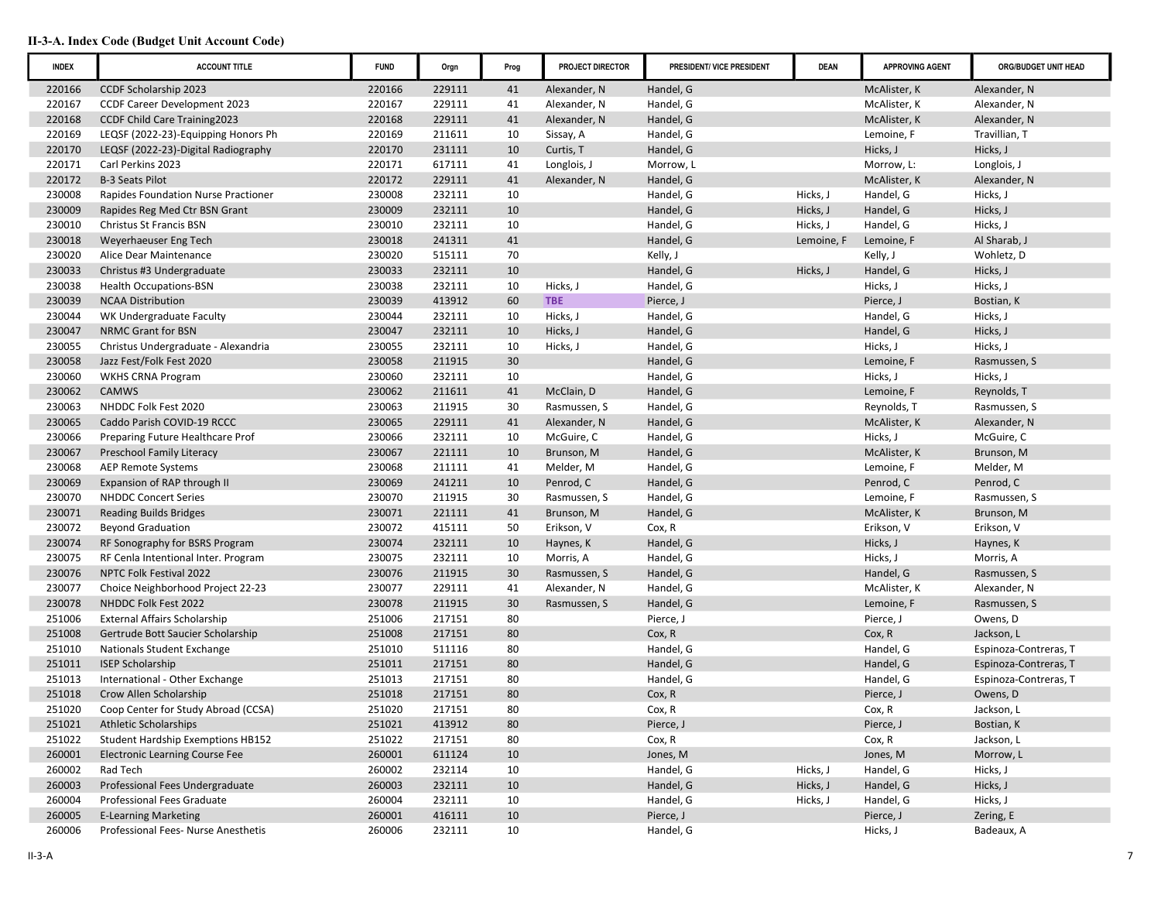| <b>INDEX</b> | <b>ACCOUNT TITLE</b>                  | <b>FUND</b> | Orgn   | Prog | PROJECT DIRECTOR | PRESIDENT/ VICE PRESIDENT | <b>DEAN</b> | <b>APPROVING AGENT</b> | ORG/BUDGET UNIT HEAD  |
|--------------|---------------------------------------|-------------|--------|------|------------------|---------------------------|-------------|------------------------|-----------------------|
| 220166       | <b>CCDF Scholarship 2023</b>          | 220166      | 229111 | 41   | Alexander, N     | Handel, G                 |             | McAlister, K           | Alexander, N          |
| 220167       | <b>CCDF Career Development 2023</b>   | 220167      | 229111 | 41   | Alexander, N     | Handel, G                 |             | McAlister, K           | Alexander, N          |
| 220168       | <b>CCDF Child Care Training2023</b>   | 220168      | 229111 | 41   | Alexander, N     | Handel, G                 |             | McAlister, K           | Alexander, N          |
| 220169       | LEQSF (2022-23)-Equipping Honors Ph   | 220169      | 211611 | 10   | Sissay, A        | Handel, G                 |             | Lemoine, F             | Travillian, T         |
| 220170       | LEQSF (2022-23)-Digital Radiography   | 220170      | 231111 | 10   | Curtis, T        | Handel, G                 |             | Hicks, J               | Hicks, J              |
| 220171       | Carl Perkins 2023                     | 220171      | 617111 | 41   | Longlois, J      | Morrow, L                 |             | Morrow, L:             | Longlois, J           |
| 220172       | <b>B-3 Seats Pilot</b>                | 220172      | 229111 | 41   | Alexander, N     | Handel, G                 |             | McAlister, K           | Alexander, N          |
| 230008       | Rapides Foundation Nurse Practioner   | 230008      | 232111 | 10   |                  | Handel, G                 | Hicks, J    | Handel, G              | Hicks, J              |
| 230009       | Rapides Reg Med Ctr BSN Grant         | 230009      | 232111 | 10   |                  | Handel, G                 | Hicks, J    | Handel, G              | Hicks, J              |
| 230010       | Christus St Francis BSN               | 230010      | 232111 | 10   |                  | Handel, G                 | Hicks, J    | Handel, G              | Hicks, J              |
| 230018       | Weyerhaeuser Eng Tech                 | 230018      | 241311 | 41   |                  | Handel, G                 | Lemoine, F  | Lemoine, F             | Al Sharab, J          |
| 230020       | Alice Dear Maintenance                | 230020      | 515111 | 70   |                  | Kelly, J                  |             | Kelly, J               | Wohletz, D            |
| 230033       | Christus #3 Undergraduate             | 230033      | 232111 | 10   |                  | Handel, G                 | Hicks, J    | Handel, G              | Hicks, J              |
| 230038       | <b>Health Occupations-BSN</b>         | 230038      | 232111 | 10   | Hicks, J         | Handel, G                 |             | Hicks, J               | Hicks, J              |
| 230039       | <b>NCAA Distribution</b>              | 230039      | 413912 | 60   | <b>TBE</b>       | Pierce, J                 |             | Pierce, J              | Bostian, K            |
| 230044       | WK Undergraduate Faculty              | 230044      | 232111 | 10   | Hicks, J         | Handel, G                 |             | Handel, G              | Hicks, J              |
| 230047       | NRMC Grant for BSN                    | 230047      | 232111 | 10   | Hicks, J         | Handel, G                 |             | Handel, G              | Hicks, J              |
| 230055       | Christus Undergraduate - Alexandria   | 230055      | 232111 | 10   | Hicks, J         | Handel, G                 |             | Hicks, J               | Hicks, J              |
| 230058       | Jazz Fest/Folk Fest 2020              | 230058      | 211915 | 30   |                  | Handel, G                 |             | Lemoine, F             | Rasmussen, S          |
| 230060       | <b>WKHS CRNA Program</b>              | 230060      | 232111 | 10   |                  | Handel, G                 |             | Hicks, J               | Hicks, J              |
| 230062       | <b>CAMWS</b>                          | 230062      | 211611 | 41   | McClain, D       | Handel, G                 |             | Lemoine, F             | Reynolds, T           |
| 230063       | NHDDC Folk Fest 2020                  | 230063      | 211915 | 30   | Rasmussen, S     | Handel, G                 |             | Reynolds, T            | Rasmussen, S          |
| 230065       | Caddo Parish COVID-19 RCCC            | 230065      | 229111 | 41   | Alexander, N     | Handel, G                 |             | McAlister, K           | Alexander, N          |
| 230066       | Preparing Future Healthcare Prof      | 230066      | 232111 | 10   | McGuire, C       | Handel, G                 |             | Hicks, J               | McGuire, C            |
| 230067       | <b>Preschool Family Literacy</b>      | 230067      | 221111 | 10   | Brunson, M       | Handel, G                 |             | McAlister, K           | Brunson, M            |
| 230068       | <b>AEP Remote Systems</b>             | 230068      | 211111 | 41   | Melder, M        | Handel, G                 |             | Lemoine, F             | Melder, M             |
| 230069       | Expansion of RAP through II           | 230069      | 241211 | 10   | Penrod, C        | Handel, G                 |             | Penrod, C              | Penrod, C             |
| 230070       | <b>NHDDC Concert Series</b>           | 230070      | 211915 | 30   | Rasmussen, S     | Handel, G                 |             | Lemoine, F             | Rasmussen, S          |
| 230071       | <b>Reading Builds Bridges</b>         | 230071      | 221111 | 41   | Brunson, M       | Handel, G                 |             | McAlister, K           | Brunson, M            |
| 230072       | <b>Beyond Graduation</b>              | 230072      | 415111 | 50   | Erikson, V       | Cox, R                    |             | Erikson, V             | Erikson, V            |
| 230074       | RF Sonography for BSRS Program        | 230074      | 232111 | 10   | Haynes, K        | Handel, G                 |             | Hicks, J               | Haynes, K             |
| 230075       | RF Cenla Intentional Inter. Program   | 230075      | 232111 | 10   | Morris, A        | Handel, G                 |             | Hicks, J               | Morris, A             |
| 230076       | NPTC Folk Festival 2022               | 230076      | 211915 | 30   | Rasmussen, S     | Handel, G                 |             | Handel, G              | Rasmussen, S          |
| 230077       | Choice Neighborhood Project 22-23     | 230077      | 229111 | 41   | Alexander, N     | Handel, G                 |             | McAlister, K           | Alexander, N          |
| 230078       | NHDDC Folk Fest 2022                  | 230078      | 211915 | 30   | Rasmussen, S     | Handel, G                 |             | Lemoine, F             | Rasmussen, S          |
| 251006       | <b>External Affairs Scholarship</b>   | 251006      | 217151 | 80   |                  | Pierce, J                 |             | Pierce, J              | Owens, D              |
| 251008       | Gertrude Bott Saucier Scholarship     | 251008      | 217151 | 80   |                  | Cox, R                    |             | Cox, R                 | Jackson, L            |
| 251010       | Nationals Student Exchange            | 251010      | 511116 | 80   |                  | Handel, G                 |             | Handel, G              | Espinoza-Contreras, T |
| 251011       | <b>ISEP Scholarship</b>               | 251011      | 217151 | 80   |                  | Handel, G                 |             | Handel, G              | Espinoza-Contreras, T |
| 251013       | International - Other Exchange        | 251013      | 217151 | 80   |                  | Handel, G                 |             | Handel, G              | Espinoza-Contreras, T |
| 251018       | Crow Allen Scholarship                | 251018      | 217151 | 80   |                  | Cox, R                    |             | Pierce, J              | Owens, D              |
| 251020       | Coop Center for Study Abroad (CCSA)   | 251020      | 217151 | 80   |                  | Cox, R                    |             | Cox, R                 | Jackson, L            |
| 251021       | <b>Athletic Scholarships</b>          | 251021      | 413912 | 80   |                  | Pierce, J                 |             | Pierce, J              | Bostian, K            |
| 251022       | Student Hardship Exemptions HB152     | 251022      | 217151 | 80   |                  | Cox, R                    |             | Cox, R                 | Jackson, L            |
| 260001       | <b>Electronic Learning Course Fee</b> | 260001      | 611124 | 10   |                  | Jones, M                  |             | Jones, M               | Morrow, L             |
| 260002       | Rad Tech                              | 260002      | 232114 | 10   |                  | Handel, G                 | Hicks, J    | Handel, G              | Hicks, J              |
| 260003       | Professional Fees Undergraduate       | 260003      | 232111 | 10   |                  | Handel, G                 | Hicks, J    | Handel, G              | Hicks, J              |
| 260004       | Professional Fees Graduate            | 260004      | 232111 | 10   |                  | Handel, G                 | Hicks, J    | Handel, G              | Hicks, J              |
| 260005       | <b>E-Learning Marketing</b>           | 260001      | 416111 | 10   |                  | Pierce, J                 |             | Pierce, J              | Zering, E             |
| 260006       | Professional Fees- Nurse Anesthetis   | 260006      | 232111 | 10   |                  | Handel, G                 |             | Hicks, J               | Badeaux, A            |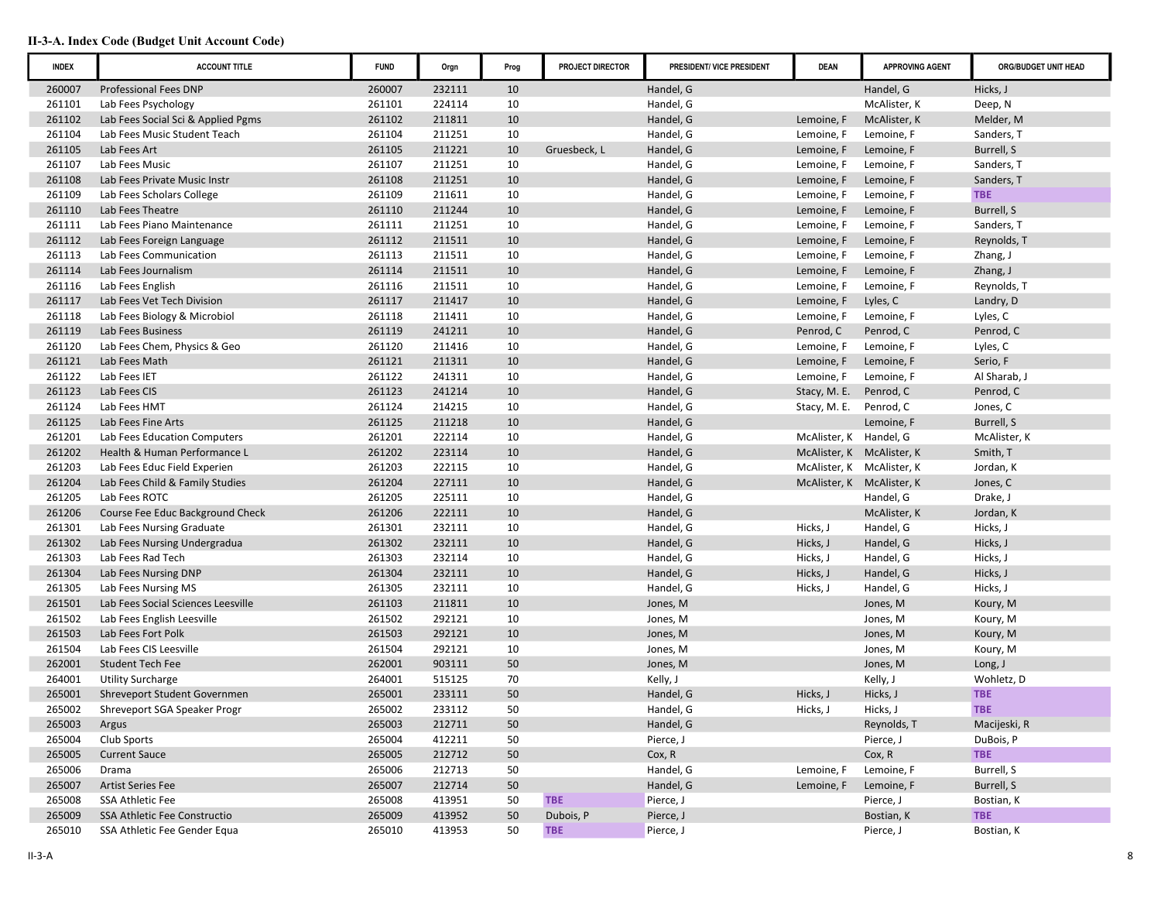| <b>INDEX</b> | <b>ACCOUNT TITLE</b>               | <b>FUND</b> | Orgn   | Prog | PROJECT DIRECTOR | PRESIDENT/ VICE PRESIDENT | <b>DEAN</b>               | <b>APPROVING AGENT</b> | ORG/BUDGET UNIT HEAD |
|--------------|------------------------------------|-------------|--------|------|------------------|---------------------------|---------------------------|------------------------|----------------------|
| 260007       | <b>Professional Fees DNP</b>       | 260007      | 232111 | 10   |                  | Handel, G                 |                           | Handel, G              | Hicks, J             |
| 261101       | Lab Fees Psychology                | 261101      | 224114 | 10   |                  | Handel, G                 |                           | McAlister, K           | Deep, N              |
| 261102       | Lab Fees Social Sci & Applied Pgms | 261102      | 211811 | 10   |                  | Handel, G                 | Lemoine, F                | McAlister, K           | Melder, M            |
| 261104       | Lab Fees Music Student Teach       | 261104      | 211251 | 10   |                  | Handel, G                 | Lemoine, F                | Lemoine, F             | Sanders, T           |
| 261105       | Lab Fees Art                       | 261105      | 211221 | 10   | Gruesbeck, L     | Handel, G                 | Lemoine, F                | Lemoine, F             | Burrell, S           |
| 261107       | Lab Fees Music                     | 261107      | 211251 | 10   |                  | Handel, G                 | Lemoine, F                | Lemoine, F             | Sanders, T           |
| 261108       | Lab Fees Private Music Instr       | 261108      | 211251 | 10   |                  | Handel, G                 | Lemoine, F                | Lemoine, F             | Sanders, T           |
| 261109       | Lab Fees Scholars College          | 261109      | 211611 | 10   |                  | Handel, G                 | Lemoine, F                | Lemoine, F             | <b>TBE</b>           |
| 261110       | Lab Fees Theatre                   | 261110      | 211244 | 10   |                  | Handel, G                 | Lemoine, F                | Lemoine, F             | Burrell, S           |
| 261111       | Lab Fees Piano Maintenance         | 261111      | 211251 | 10   |                  | Handel, G                 | Lemoine, F                | Lemoine, F             | Sanders, T           |
| 261112       | Lab Fees Foreign Language          | 261112      | 211511 | 10   |                  | Handel, G                 | Lemoine, F                | Lemoine, F             | Reynolds, T          |
| 261113       | Lab Fees Communication             | 261113      | 211511 | 10   |                  | Handel, G                 | Lemoine, F                | Lemoine, F             | Zhang, J             |
| 261114       | Lab Fees Journalism                | 261114      | 211511 | 10   |                  | Handel, G                 | Lemoine, F                | Lemoine, F             | Zhang, J             |
| 261116       | Lab Fees English                   | 261116      | 211511 | 10   |                  | Handel, G                 | Lemoine, F                | Lemoine, F             | Reynolds, T          |
| 261117       | Lab Fees Vet Tech Division         | 261117      | 211417 | 10   |                  | Handel, G                 | Lemoine, F                | Lyles, C               | Landry, D            |
| 261118       | Lab Fees Biology & Microbiol       | 261118      | 211411 | 10   |                  | Handel, G                 | Lemoine, F                | Lemoine, F             | Lyles, C             |
| 261119       | Lab Fees Business                  | 261119      | 241211 | 10   |                  | Handel, G                 | Penrod, C                 | Penrod, C              | Penrod, C            |
| 261120       | Lab Fees Chem, Physics & Geo       | 261120      | 211416 | 10   |                  | Handel, G                 | Lemoine, F                | Lemoine, F             | Lyles, C             |
| 261121       | Lab Fees Math                      | 261121      | 211311 | 10   |                  | Handel, G                 | Lemoine, F                | Lemoine, F             | Serio, F             |
| 261122       | Lab Fees IET                       | 261122      | 241311 | 10   |                  | Handel, G                 | Lemoine, F                | Lemoine, F             | Al Sharab, J         |
| 261123       | Lab Fees CIS                       | 261123      | 241214 | 10   |                  | Handel, G                 | Stacy, M. E.              | Penrod, C              | Penrod, C            |
| 261124       | Lab Fees HMT                       | 261124      | 214215 | 10   |                  | Handel, G                 | Stacy, M. E.              | Penrod, C              | Jones, C             |
| 261125       | Lab Fees Fine Arts                 | 261125      | 211218 | 10   |                  | Handel, G                 |                           | Lemoine, F             | Burrell, S           |
| 261201       | Lab Fees Education Computers       | 261201      | 222114 | 10   |                  | Handel, G                 | McAlister, K Handel, G    |                        | McAlister, K         |
| 261202       | Health & Human Performance L       | 261202      | 223114 | 10   |                  | Handel, G                 | McAlister, K McAlister, K |                        | Smith, T             |
| 261203       | Lab Fees Educ Field Experien       | 261203      | 222115 | 10   |                  | Handel, G                 | McAlister, K McAlister, K |                        | Jordan, K            |
| 261204       | Lab Fees Child & Family Studies    | 261204      | 227111 | 10   |                  | Handel, G                 | McAlister, K McAlister, K |                        | Jones, C             |
| 261205       | Lab Fees ROTC                      | 261205      | 225111 | 10   |                  | Handel, G                 |                           | Handel, G              | Drake, J             |
| 261206       | Course Fee Educ Background Check   | 261206      | 222111 | 10   |                  | Handel, G                 |                           | McAlister, K           | Jordan, K            |
| 261301       | Lab Fees Nursing Graduate          | 261301      | 232111 | 10   |                  | Handel, G                 | Hicks, J                  | Handel, G              | Hicks, J             |
| 261302       | Lab Fees Nursing Undergradua       | 261302      | 232111 | 10   |                  | Handel, G                 | Hicks, J                  | Handel, G              | Hicks, J             |
| 261303       | Lab Fees Rad Tech                  | 261303      | 232114 | 10   |                  | Handel, G                 | Hicks, J                  | Handel, G              | Hicks, J             |
| 261304       | Lab Fees Nursing DNP               | 261304      | 232111 | 10   |                  | Handel, G                 | Hicks, J                  | Handel, G              | Hicks, J             |
| 261305       | Lab Fees Nursing MS                | 261305      | 232111 | 10   |                  | Handel, G                 | Hicks, J                  | Handel, G              | Hicks, J             |
| 261501       | Lab Fees Social Sciences Leesville | 261103      | 211811 | 10   |                  | Jones, M                  |                           | Jones, M               | Koury, M             |
| 261502       | Lab Fees English Leesville         | 261502      | 292121 | 10   |                  | Jones, M                  |                           | Jones, M               | Koury, M             |
| 261503       | Lab Fees Fort Polk                 | 261503      | 292121 | 10   |                  | Jones, M                  |                           | Jones, M               | Koury, M             |
| 261504       | Lab Fees CIS Leesville             | 261504      | 292121 | 10   |                  | Jones, M                  |                           | Jones, M               | Koury, M             |
| 262001       | <b>Student Tech Fee</b>            | 262001      | 903111 | 50   |                  | Jones, M                  |                           | Jones, M               | Long, J              |
| 264001       | <b>Utility Surcharge</b>           | 264001      | 515125 | 70   |                  | Kelly, J                  |                           | Kelly, J               | Wohletz, D           |
| 265001       | Shreveport Student Governmen       | 265001      | 233111 | 50   |                  | Handel, G                 | Hicks, J                  | Hicks, J               | <b>TBE</b>           |
| 265002       | Shreveport SGA Speaker Progr       | 265002      | 233112 | 50   |                  | Handel, G                 | Hicks, J                  | Hicks, J               | <b>TBE</b>           |
| 265003       | Argus                              | 265003      | 212711 | 50   |                  | Handel, G                 |                           | Reynolds, T            | Macijeski, R         |
| 265004       | Club Sports                        | 265004      | 412211 | 50   |                  | Pierce, J                 |                           | Pierce, J              | DuBois, P            |
| 265005       | <b>Current Sauce</b>               | 265005      | 212712 | 50   |                  | Cox, R                    |                           | Cox, R                 | <b>TBE</b>           |
| 265006       | Drama                              | 265006      | 212713 | 50   |                  | Handel, G                 | Lemoine, F                | Lemoine, F             | Burrell, S           |
| 265007       | Artist Series Fee                  | 265007      | 212714 | 50   |                  | Handel, G                 | Lemoine, F                | Lemoine, F             | Burrell, S           |
| 265008       | SSA Athletic Fee                   | 265008      | 413951 | 50   | <b>TBE</b>       | Pierce, J                 |                           | Pierce, J              | Bostian, K           |
| 265009       | SSA Athletic Fee Constructio       | 265009      | 413952 | 50   | Dubois, P        | Pierce, J                 |                           | Bostian, K             | <b>TBE</b>           |
| 265010       | SSA Athletic Fee Gender Equa       | 265010      | 413953 | 50   | <b>TBE</b>       | Pierce, J                 |                           | Pierce, J              | Bostian, K           |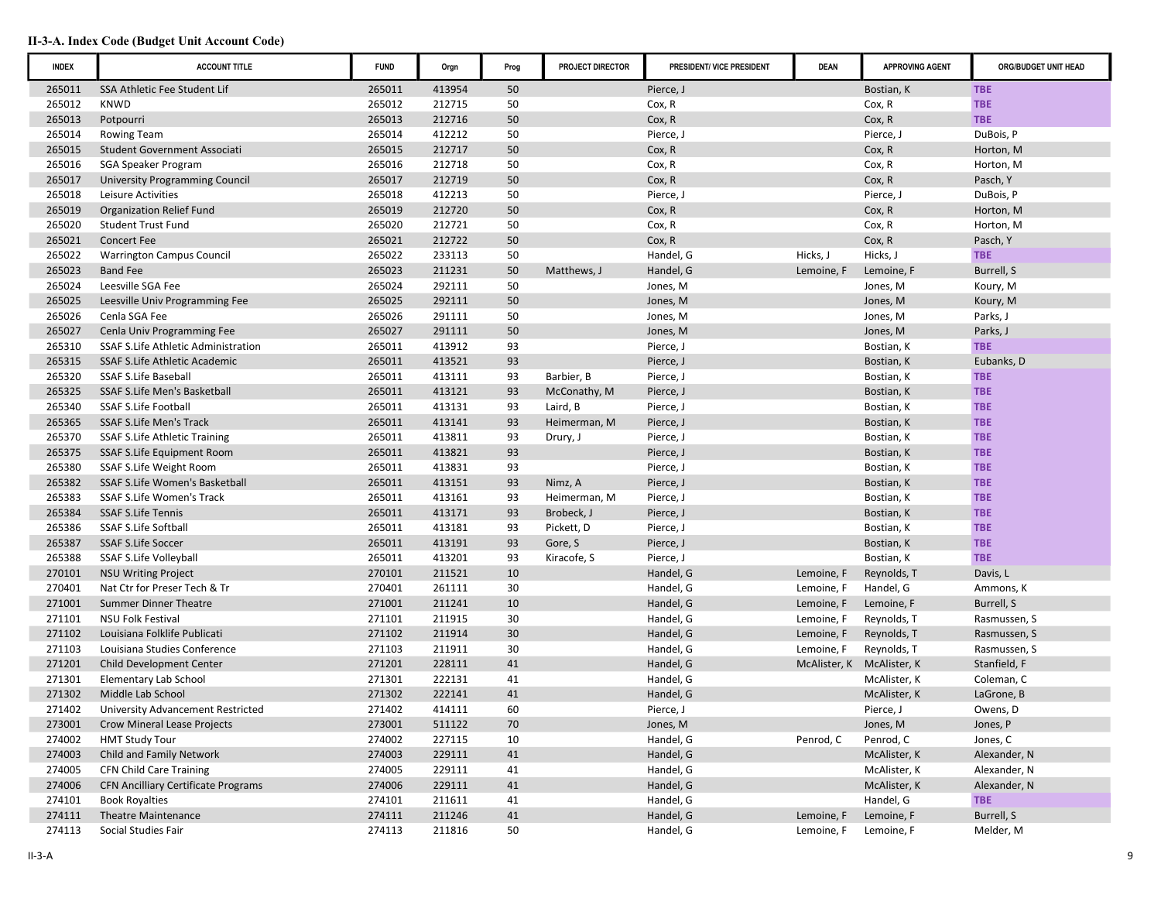| <b>INDEX</b> | <b>ACCOUNT TITLE</b>                                          | <b>FUND</b> | Orgn   | Prog | PROJECT DIRECTOR | PRESIDENT/ VICE PRESIDENT | <b>DEAN</b>  | <b>APPROVING AGENT</b> | ORG/BUDGET UNIT HEAD |
|--------------|---------------------------------------------------------------|-------------|--------|------|------------------|---------------------------|--------------|------------------------|----------------------|
| 265011       | SSA Athletic Fee Student Lif                                  | 265011      | 413954 | 50   |                  | Pierce, J                 |              | Bostian, K             | <b>TBE</b>           |
| 265012       | <b>KNWD</b>                                                   | 265012      | 212715 | 50   |                  | Cox, R                    |              | Cox, R                 | <b>TBE</b>           |
| 265013       | Potpourri                                                     | 265013      | 212716 | 50   |                  | Cox, R                    |              | Cox, R                 | <b>TBE</b>           |
| 265014       | <b>Rowing Team</b>                                            | 265014      | 412212 | 50   |                  | Pierce, J                 |              | Pierce, J              | DuBois, P            |
| 265015       | <b>Student Government Associati</b>                           | 265015      | 212717 | 50   |                  | Cox, R                    |              | Cox, R                 | Horton, M            |
| 265016       | SGA Speaker Program                                           | 265016      | 212718 | 50   |                  | Cox, R                    |              | Cox, R                 | Horton, M            |
| 265017       | <b>University Programming Council</b>                         | 265017      | 212719 | 50   |                  | Cox, R                    |              | Cox, R                 | Pasch, Y             |
| 265018       | Leisure Activities                                            | 265018      | 412213 | 50   |                  | Pierce, J                 |              | Pierce, J              | DuBois, P            |
| 265019       | <b>Organization Relief Fund</b>                               | 265019      | 212720 | 50   |                  | Cox, R                    |              | Cox, R                 | Horton, M            |
| 265020       | <b>Student Trust Fund</b>                                     | 265020      | 212721 | 50   |                  | Cox, R                    |              | Cox, R                 | Horton, M            |
| 265021       | <b>Concert Fee</b>                                            | 265021      | 212722 | 50   |                  | Cox, R                    |              | Cox, R                 | Pasch, Y             |
| 265022       | <b>Warrington Campus Council</b>                              | 265022      | 233113 | 50   |                  | Handel, G                 | Hicks, J     | Hicks, J               | <b>TBE</b>           |
| 265023       | <b>Band Fee</b>                                               | 265023      | 211231 | 50   | Matthews, J      | Handel, G                 | Lemoine, F   | Lemoine, F             | Burrell, S           |
| 265024       | Leesville SGA Fee                                             | 265024      | 292111 | 50   |                  | Jones, M                  |              | Jones, M               | Koury, M             |
| 265025       | Leesville Univ Programming Fee                                | 265025      | 292111 | 50   |                  | Jones, M                  |              | Jones, M               | Koury, M             |
| 265026       | Cenla SGA Fee                                                 | 265026      | 291111 | 50   |                  | Jones, M                  |              | Jones, M               | Parks, J             |
| 265027       | Cenla Univ Programming Fee                                    | 265027      | 291111 | 50   |                  | Jones, M                  |              | Jones, M               | Parks, J             |
| 265310       | SSAF S.Life Athletic Administration                           | 265011      | 413912 | 93   |                  | Pierce, J                 |              | Bostian, K             | <b>TBE</b>           |
| 265315       | SSAF S.Life Athletic Academic                                 | 265011      | 413521 | 93   |                  | Pierce, J                 |              | Bostian, K             | Eubanks, D           |
| 265320       | <b>SSAF S.Life Baseball</b>                                   | 265011      | 413111 | 93   | Barbier, B       | Pierce, J                 |              | Bostian, K             | <b>TBE</b>           |
| 265325       | SSAF S.Life Men's Basketball                                  | 265011      | 413121 | 93   | McConathy, M     | Pierce, J                 |              | Bostian, K             | <b>TBE</b>           |
| 265340       | <b>SSAF S.Life Football</b>                                   | 265011      | 413131 | 93   | Laird, B         | Pierce, J                 |              | Bostian, K             | <b>TBE</b>           |
| 265365       | <b>SSAF S.Life Men's Track</b>                                | 265011      | 413141 | 93   | Heimerman, M     | Pierce, J                 |              | Bostian, K             | <b>TBE</b>           |
| 265370       | SSAF S.Life Athletic Training                                 | 265011      | 413811 | 93   | Drury, J         | Pierce, J                 |              | Bostian, K             | <b>TBE</b>           |
| 265375       | SSAF S.Life Equipment Room                                    | 265011      | 413821 | 93   |                  | Pierce, J                 |              | Bostian, K             | <b>TBE</b>           |
| 265380       | SSAF S.Life Weight Room                                       | 265011      | 413831 | 93   |                  | Pierce, J                 |              | Bostian, K             | <b>TBE</b>           |
| 265382       | SSAF S.Life Women's Basketball                                | 265011      | 413151 | 93   | Nimz, A          | Pierce, J                 |              | Bostian, K             | <b>TBE</b>           |
| 265383       | SSAF S.Life Women's Track                                     | 265011      | 413161 | 93   | Heimerman, M     | Pierce, J                 |              | Bostian, K             | <b>TBE</b>           |
| 265384       | <b>SSAF S.Life Tennis</b>                                     | 265011      | 413171 | 93   | Brobeck, J       | Pierce, J                 |              | Bostian, K             | <b>TBE</b>           |
| 265386       | SSAF S.Life Softball                                          | 265011      | 413181 | 93   | Pickett, D       | Pierce, J                 |              | Bostian, K             | <b>TBE</b>           |
| 265387       | <b>SSAF S.Life Soccer</b>                                     | 265011      | 413191 | 93   | Gore, S          | Pierce, J                 |              | Bostian, K             | <b>TBE</b>           |
| 265388       | SSAF S.Life Volleyball                                        | 265011      | 413201 | 93   | Kiracofe, S      | Pierce, J                 |              | Bostian, K             | <b>TBE</b>           |
| 270101       | <b>NSU Writing Project</b>                                    | 270101      | 211521 | 10   |                  | Handel, G                 | Lemoine, F   | Reynolds, T            | Davis, L             |
| 270401       | Nat Ctr for Preser Tech & Tr                                  | 270401      | 261111 | 30   |                  | Handel, G                 | Lemoine, F   | Handel, G              | Ammons, K            |
| 271001       | Summer Dinner Theatre                                         | 271001      | 211241 | 10   |                  | Handel, G                 | Lemoine, F   | Lemoine, F             | Burrell, S           |
| 271101       | <b>NSU Folk Festival</b>                                      | 271101      | 211915 | 30   |                  | Handel, G                 | Lemoine, F   | Reynolds, T            | Rasmussen, S         |
| 271102       | Louisiana Folklife Publicati                                  | 271102      | 211914 | 30   |                  | Handel, G                 | Lemoine, F   | Reynolds, T            | Rasmussen, S         |
| 271103       | Louisiana Studies Conference                                  | 271103      | 211911 | 30   |                  | Handel, G                 | Lemoine, F   | Reynolds, T            | Rasmussen, S         |
| 271201       | Child Development Center                                      | 271201      | 228111 | 41   |                  | Handel, G                 | McAlister, K | McAlister, K           | Stanfield, F         |
| 271301       |                                                               | 271301      | 222131 | 41   |                  | Handel, G                 |              |                        |                      |
|              | Elementary Lab School                                         |             |        | 41   |                  |                           |              | McAlister, K           | Coleman, C           |
| 271302       | Middle Lab School<br><b>University Advancement Restricted</b> | 271302      | 222141 | 60   |                  | Handel, G                 |              | McAlister, K           | LaGrone, B           |
| 271402       |                                                               | 271402      | 414111 |      |                  | Pierce, J                 |              | Pierce, J              | Owens, D             |
| 273001       | Crow Mineral Lease Projects                                   | 273001      | 511122 | 70   |                  | Jones, M                  |              | Jones, M               | Jones, P             |
| 274002       | <b>HMT Study Tour</b>                                         | 274002      | 227115 | 10   |                  | Handel, G                 | Penrod, C    | Penrod, C              | Jones, C             |
| 274003       | Child and Family Network                                      | 274003      | 229111 | 41   |                  | Handel, G                 |              | McAlister, K           | Alexander, N         |
| 274005       | <b>CFN Child Care Training</b>                                | 274005      | 229111 | 41   |                  | Handel, G                 |              | McAlister, K           | Alexander, N         |
| 274006       | <b>CFN Ancilliary Certificate Programs</b>                    | 274006      | 229111 | 41   |                  | Handel, G                 |              | McAlister, K           | Alexander, N         |
| 274101       | <b>Book Royalties</b>                                         | 274101      | 211611 | 41   |                  | Handel, G                 |              | Handel, G              | <b>TBE</b>           |
| 274111       | <b>Theatre Maintenance</b>                                    | 274111      | 211246 | 41   |                  | Handel, G                 | Lemoine, F   | Lemoine, F             | Burrell, S           |
| 274113       | Social Studies Fair                                           | 274113      | 211816 | 50   |                  | Handel, G                 | Lemoine, F   | Lemoine, F             | Melder, M            |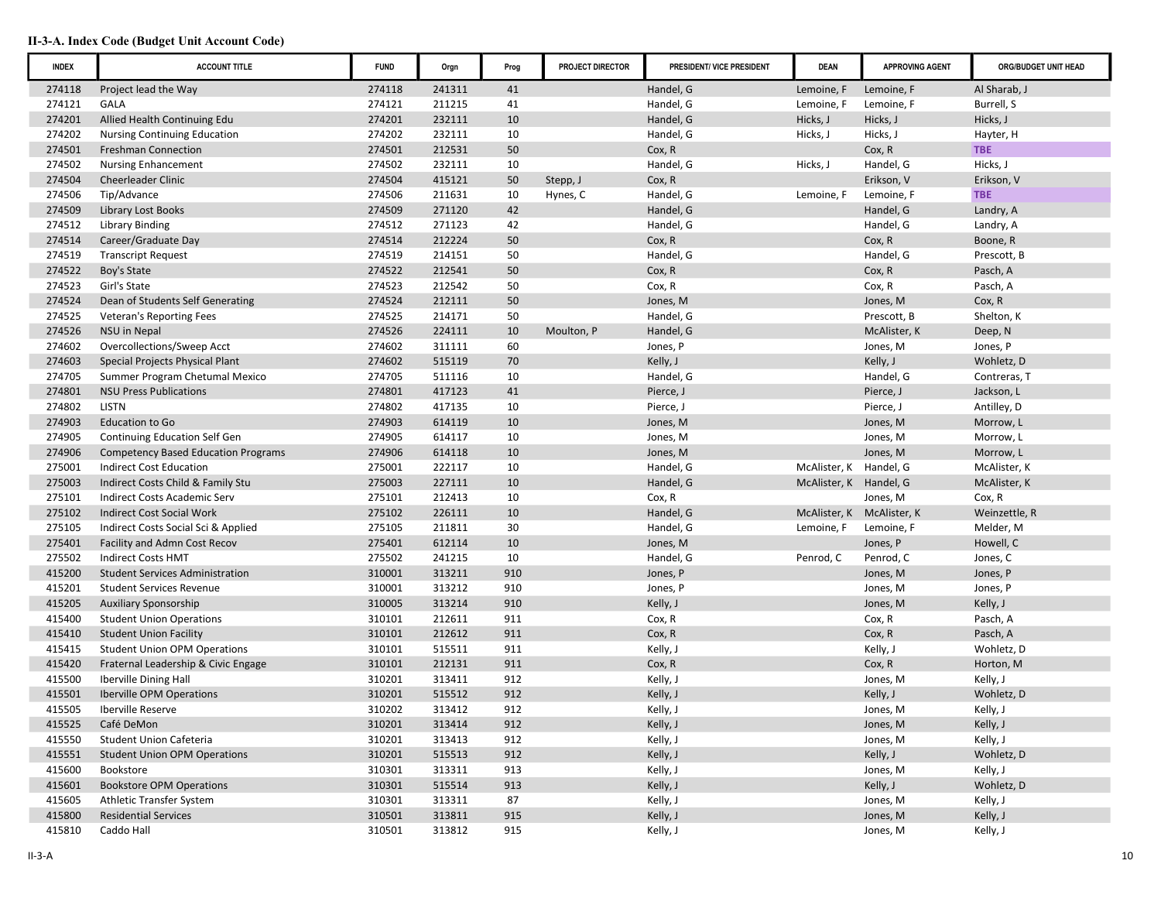| <b>INDEX</b> | <b>ACCOUNT TITLE</b>                       | <b>FUND</b> | Orgn   | Prog | PROJECT DIRECTOR | PRESIDENT/ VICE PRESIDENT | <b>DEAN</b>               | <b>APPROVING AGENT</b> | ORG/BUDGET UNIT HEAD |
|--------------|--------------------------------------------|-------------|--------|------|------------------|---------------------------|---------------------------|------------------------|----------------------|
| 274118       | Project lead the Way                       | 274118      | 241311 | 41   |                  | Handel, G                 | Lemoine, F                | Lemoine, F             | Al Sharab, J         |
| 274121       | <b>GALA</b>                                | 274121      | 211215 | 41   |                  | Handel, G                 | Lemoine, F                | Lemoine, F             | Burrell, S           |
| 274201       | Allied Health Continuing Edu               | 274201      | 232111 | 10   |                  | Handel, G                 | Hicks, J                  | Hicks, J               | Hicks, J             |
| 274202       | <b>Nursing Continuing Education</b>        | 274202      | 232111 | 10   |                  | Handel, G                 | Hicks, J                  | Hicks, J               | Hayter, H            |
| 274501       | <b>Freshman Connection</b>                 | 274501      | 212531 | 50   |                  | Cox, R                    |                           | Cox, R                 | <b>TBE</b>           |
| 274502       | <b>Nursing Enhancement</b>                 | 274502      | 232111 | 10   |                  | Handel, G                 | Hicks, J                  | Handel, G              | Hicks, J             |
| 274504       | <b>Cheerleader Clinic</b>                  | 274504      | 415121 | 50   | Stepp, J         | Cox, R                    |                           | Erikson, V             | Erikson, V           |
| 274506       | Tip/Advance                                | 274506      | 211631 | 10   | Hynes, C         | Handel, G                 | Lemoine, F                | Lemoine, F             | <b>TBE</b>           |
| 274509       | <b>Library Lost Books</b>                  | 274509      | 271120 | 42   |                  | Handel, G                 |                           | Handel, G              | Landry, A            |
| 274512       | <b>Library Binding</b>                     | 274512      | 271123 | 42   |                  | Handel, G                 |                           | Handel, G              | Landry, A            |
| 274514       | Career/Graduate Day                        | 274514      | 212224 | 50   |                  | Cox, R                    |                           | Cox, R                 | Boone, R             |
| 274519       | <b>Transcript Request</b>                  | 274519      | 214151 | 50   |                  | Handel, G                 |                           | Handel, G              | Prescott, B          |
| 274522       | Boy's State                                | 274522      | 212541 | 50   |                  | Cox, R                    |                           | Cox, R                 | Pasch, A             |
| 274523       | Girl's State                               | 274523      | 212542 | 50   |                  | Cox, R                    |                           | Cox, R                 | Pasch, A             |
| 274524       | Dean of Students Self Generating           | 274524      | 212111 | 50   |                  | Jones, M                  |                           | Jones, M               | Cox, R               |
| 274525       | Veteran's Reporting Fees                   | 274525      | 214171 | 50   |                  | Handel, G                 |                           | Prescott, B            | Shelton, K           |
| 274526       | NSU in Nepal                               | 274526      | 224111 | 10   | Moulton, P       | Handel, G                 |                           | McAlister, K           | Deep, N              |
| 274602       | Overcollections/Sweep Acct                 | 274602      | 311111 | 60   |                  | Jones, P                  |                           | Jones, M               | Jones, P             |
| 274603       | Special Projects Physical Plant            | 274602      | 515119 | 70   |                  | Kelly, J                  |                           | Kelly, J               | Wohletz, D           |
| 274705       | Summer Program Chetumal Mexico             | 274705      | 511116 | 10   |                  | Handel, G                 |                           | Handel, G              | Contreras, T         |
| 274801       | <b>NSU Press Publications</b>              | 274801      | 417123 | 41   |                  | Pierce, J                 |                           | Pierce, J              | Jackson, L           |
| 274802       | <b>LISTN</b>                               | 274802      | 417135 | 10   |                  | Pierce, J                 |                           | Pierce, J              | Antilley, D          |
| 274903       | Education to Go                            | 274903      | 614119 | 10   |                  | Jones, M                  |                           | Jones, M               | Morrow, L            |
| 274905       | <b>Continuing Education Self Gen</b>       | 274905      | 614117 | 10   |                  | Jones, M                  |                           | Jones, M               | Morrow, L            |
| 274906       | <b>Competency Based Education Programs</b> | 274906      | 614118 | 10   |                  | Jones, M                  |                           | Jones, M               | Morrow, L            |
| 275001       | <b>Indirect Cost Education</b>             | 275001      | 222117 | 10   |                  | Handel, G                 | McAlister, K              | Handel, G              | McAlister, K         |
| 275003       | Indirect Costs Child & Family Stu          | 275003      | 227111 | 10   |                  | Handel, G                 | McAlister, K Handel, G    |                        | McAlister, K         |
| 275101       | Indirect Costs Academic Serv               | 275101      | 212413 | 10   |                  | Cox, R                    |                           | Jones, M               | Cox, R               |
| 275102       | <b>Indirect Cost Social Work</b>           | 275102      | 226111 | 10   |                  | Handel, G                 | McAlister, K McAlister, K |                        | Weinzettle, R        |
| 275105       | Indirect Costs Social Sci & Applied        | 275105      | 211811 | 30   |                  | Handel, G                 | Lemoine, F                | Lemoine, F             | Melder, M            |
| 275401       | Facility and Admn Cost Recov               | 275401      | 612114 | 10   |                  | Jones, M                  |                           | Jones, P               | Howell, C            |
| 275502       | <b>Indirect Costs HMT</b>                  | 275502      | 241215 | 10   |                  | Handel, G                 | Penrod, C                 | Penrod, C              | Jones, C             |
| 415200       | <b>Student Services Administration</b>     | 310001      | 313211 | 910  |                  | Jones, P                  |                           | Jones, M               | Jones, P             |
| 415201       | <b>Student Services Revenue</b>            | 310001      | 313212 | 910  |                  | Jones, P                  |                           | Jones, M               | Jones, P             |
| 415205       | <b>Auxiliary Sponsorship</b>               | 310005      | 313214 | 910  |                  | Kelly, J                  |                           | Jones, M               | Kelly, J             |
| 415400       | <b>Student Union Operations</b>            | 310101      | 212611 | 911  |                  | Cox, R                    |                           | Cox, R                 | Pasch, A             |
| 415410       | <b>Student Union Facility</b>              | 310101      | 212612 | 911  |                  | Cox, R                    |                           | Cox, R                 | Pasch, A             |
| 415415       | <b>Student Union OPM Operations</b>        | 310101      | 515511 | 911  |                  | Kelly, J                  |                           | Kelly, J               | Wohletz, D           |
| 415420       | Fraternal Leadership & Civic Engage        | 310101      | 212131 | 911  |                  | Cox, R                    |                           | Cox, R                 | Horton, M            |
| 415500       | <b>Iberville Dining Hall</b>               | 310201      | 313411 | 912  |                  | Kelly, J                  |                           | Jones, M               | Kelly, J             |
| 415501       | <b>Iberville OPM Operations</b>            | 310201      | 515512 | 912  |                  | Kelly, J                  |                           | Kelly, J               | Wohletz, D           |
| 415505       | Iberville Reserve                          | 310202      | 313412 | 912  |                  | Kelly, J                  |                           | Jones, M               | Kelly, J             |
| 415525       | Café DeMon                                 | 310201      | 313414 | 912  |                  | Kelly, J                  |                           | Jones, M               | Kelly, J             |
| 415550       | Student Union Cafeteria                    | 310201      | 313413 | 912  |                  | Kelly, J                  |                           | Jones, M               | Kelly, J             |
| 415551       | <b>Student Union OPM Operations</b>        | 310201      | 515513 | 912  |                  | Kelly, J                  |                           | Kelly, J               | Wohletz, D           |
| 415600       | Bookstore                                  | 310301      | 313311 | 913  |                  | Kelly, J                  |                           | Jones, M               | Kelly, J             |
| 415601       | <b>Bookstore OPM Operations</b>            | 310301      | 515514 | 913  |                  | Kelly, J                  |                           | Kelly, J               | Wohletz, D           |
| 415605       | Athletic Transfer System                   | 310301      | 313311 | 87   |                  | Kelly, J                  |                           | Jones, M               | Kelly, J             |
| 415800       | <b>Residential Services</b>                | 310501      | 313811 | 915  |                  | Kelly, J                  |                           | Jones, M               | Kelly, J             |
| 415810       | Caddo Hall                                 | 310501      | 313812 | 915  |                  | Kelly, J                  |                           | Jones, M               | Kelly, J             |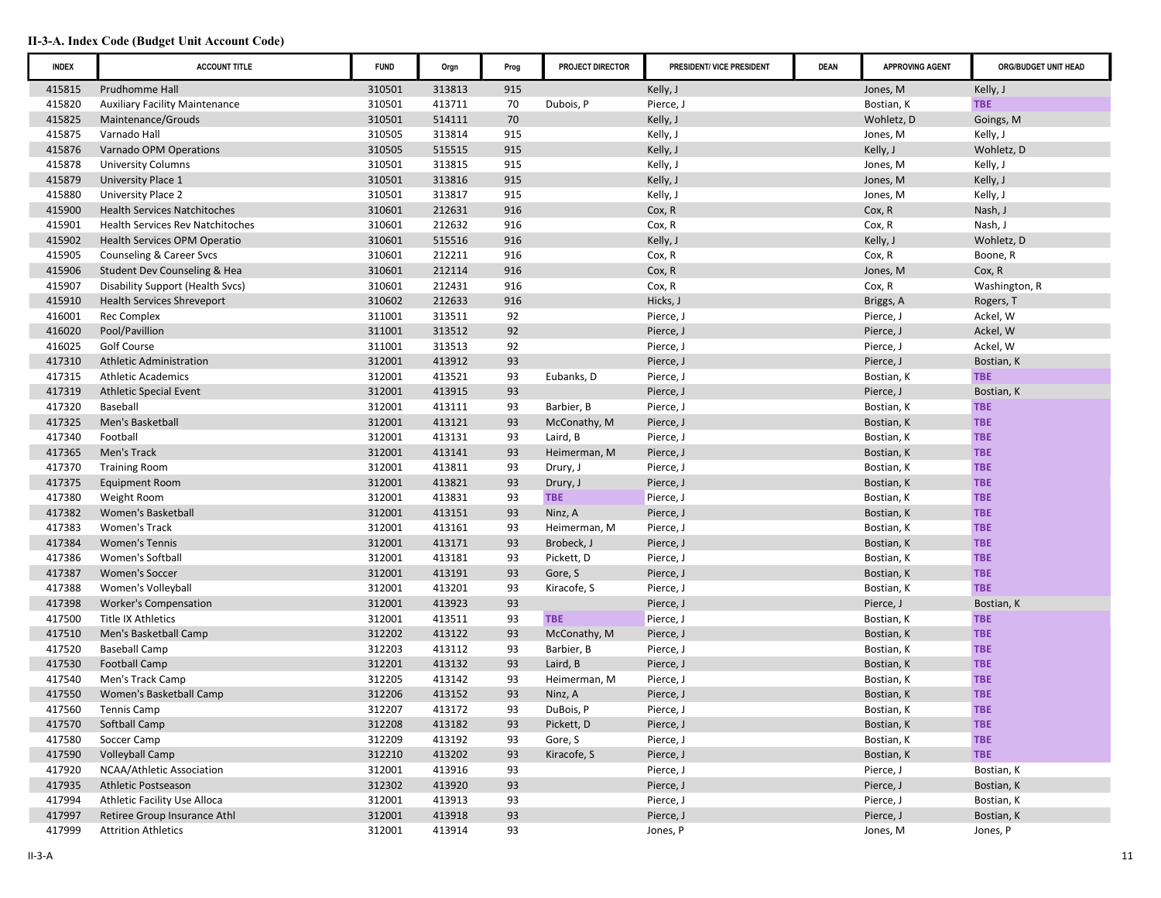| <b>INDEX</b> | <b>ACCOUNT TITLE</b>                    | <b>FUND</b> | Orgn   | Prog | PROJECT DIRECTOR | PRESIDENT/ VICE PRESIDENT | <b>DEAN</b> | <b>APPROVING AGENT</b> | ORG/BUDGET UNIT HEAD |
|--------------|-----------------------------------------|-------------|--------|------|------------------|---------------------------|-------------|------------------------|----------------------|
| 415815       | Prudhomme Hall                          | 310501      | 313813 | 915  |                  | Kelly, J                  |             | Jones, M               | Kelly, J             |
| 415820       | <b>Auxiliary Facility Maintenance</b>   | 310501      | 413711 | 70   | Dubois, P        | Pierce, J                 |             | Bostian, K             | <b>TBE</b>           |
| 415825       | Maintenance/Grouds                      | 310501      | 514111 | 70   |                  | Kelly, J                  |             | Wohletz, D             | Goings, M            |
| 415875       | Varnado Hall                            | 310505      | 313814 | 915  |                  | Kelly, J                  |             | Jones, M               | Kelly, J             |
| 415876       | Varnado OPM Operations                  | 310505      | 515515 | 915  |                  | Kelly, J                  |             | Kelly, J               | Wohletz, D           |
| 415878       | <b>University Columns</b>               | 310501      | 313815 | 915  |                  | Kelly, J                  |             | Jones, M               | Kelly, J             |
| 415879       | University Place 1                      | 310501      | 313816 | 915  |                  | Kelly, J                  |             | Jones, M               | Kelly, J             |
| 415880       | University Place 2                      | 310501      | 313817 | 915  |                  | Kelly, J                  |             | Jones, M               | Kelly, J             |
| 415900       | <b>Health Services Natchitoches</b>     | 310601      | 212631 | 916  |                  | Cox, R                    |             | Cox, R                 | Nash, J              |
| 415901       | <b>Health Services Rev Natchitoches</b> | 310601      | 212632 | 916  |                  | Cox, R                    |             | Cox, R                 | Nash, J              |
| 415902       | Health Services OPM Operatio            | 310601      | 515516 | 916  |                  | Kelly, J                  |             | Kelly, J               | Wohletz, D           |
| 415905       | Counseling & Career Svcs                | 310601      | 212211 | 916  |                  | Cox, R                    |             | Cox, R                 | Boone, R             |
| 415906       | Student Dev Counseling & Hea            | 310601      | 212114 | 916  |                  | Cox, R                    |             | Jones, M               | Cox, R               |
| 415907       | Disability Support (Health Svcs)        | 310601      | 212431 | 916  |                  | Cox, R                    |             | Cox, R                 | Washington, R        |
| 415910       | Health Services Shreveport              | 310602      | 212633 | 916  |                  | Hicks, J                  |             | Briggs, A              | Rogers, T            |
| 416001       | Rec Complex                             | 311001      | 313511 | 92   |                  | Pierce, J                 |             | Pierce, J              | Ackel, W             |
| 416020       | Pool/Pavillion                          | 311001      | 313512 | 92   |                  | Pierce, J                 |             | Pierce, J              | Ackel, W             |
| 416025       | Golf Course                             | 311001      | 313513 | 92   |                  | Pierce, J                 |             | Pierce, J              | Ackel, W             |
| 417310       | <b>Athletic Administration</b>          | 312001      | 413912 | 93   |                  | Pierce, J                 |             | Pierce, J              | Bostian, K           |
| 417315       | <b>Athletic Academics</b>               | 312001      | 413521 | 93   | Eubanks, D       | Pierce, J                 |             | Bostian, K             | <b>TBE</b>           |
| 417319       | <b>Athletic Special Event</b>           | 312001      | 413915 | 93   |                  | Pierce, J                 |             | Pierce, J              | Bostian, K           |
| 417320       | Baseball                                | 312001      | 413111 | 93   | Barbier, B       | Pierce, J                 |             | Bostian, K             | <b>TBE</b>           |
| 417325       | Men's Basketball                        | 312001      | 413121 | 93   | McConathy, M     | Pierce, J                 |             | Bostian, K             | <b>TBE</b>           |
| 417340       | Football                                | 312001      | 413131 | 93   | Laird, B         | Pierce, J                 |             | Bostian, K             | <b>TBE</b>           |
| 417365       | Men's Track                             | 312001      | 413141 | 93   | Heimerman, M     | Pierce, J                 |             | Bostian, K             | <b>TBE</b>           |
| 417370       | <b>Training Room</b>                    | 312001      | 413811 | 93   | Drury, J         | Pierce, J                 |             | Bostian, K             | <b>TBE</b>           |
| 417375       | <b>Equipment Room</b>                   | 312001      | 413821 | 93   | Drury, J         | Pierce, J                 |             | Bostian, K             | <b>TBE</b>           |
| 417380       | Weight Room                             | 312001      | 413831 | 93   | <b>TBE</b>       | Pierce, J                 |             | Bostian, K             | <b>TBE</b>           |
| 417382       | Women's Basketball                      | 312001      | 413151 | 93   | Ninz, A          | Pierce, J                 |             | Bostian, K             | <b>TBE</b>           |
| 417383       | Women's Track                           | 312001      | 413161 | 93   | Heimerman, M     | Pierce, J                 |             | Bostian, K             | <b>TBE</b>           |
| 417384       | <b>Women's Tennis</b>                   | 312001      | 413171 | 93   | Brobeck, J       | Pierce, J                 |             | Bostian, K             | <b>TBE</b>           |
| 417386       | Women's Softball                        | 312001      | 413181 | 93   | Pickett, D       | Pierce, J                 |             | Bostian, K             | <b>TBE</b>           |
| 417387       | <b>Women's Soccer</b>                   | 312001      | 413191 | 93   | Gore, S          | Pierce, J                 |             | Bostian, K             | <b>TBE</b>           |
| 417388       | Women's Volleyball                      | 312001      | 413201 | 93   | Kiracofe, S      | Pierce, J                 |             | Bostian, K             | <b>TBE</b>           |
| 417398       | <b>Worker's Compensation</b>            | 312001      | 413923 | 93   |                  | Pierce, J                 |             | Pierce, J              | Bostian, K           |
| 417500       | <b>Title IX Athletics</b>               | 312001      | 413511 | 93   | <b>TBE</b>       | Pierce, J                 |             | Bostian, K             | <b>TBE</b>           |
| 417510       | Men's Basketball Camp                   | 312202      | 413122 | 93   | McConathy, M     | Pierce, J                 |             | Bostian, K             | <b>TBE</b>           |
| 417520       | <b>Baseball Camp</b>                    | 312203      | 413112 | 93   | Barbier, B       | Pierce, J                 |             | Bostian, K             | <b>TBE</b>           |
| 417530       | <b>Football Camp</b>                    | 312201      | 413132 | 93   | Laird, B         | Pierce, J                 |             | Bostian, K             | <b>TBE</b>           |
| 417540       | Men's Track Camp                        | 312205      | 413142 | 93   | Heimerman, M     | Pierce, J                 |             | Bostian, K             | <b>TBE</b>           |
| 417550       | Women's Basketball Camp                 | 312206      | 413152 | 93   | Ninz, A          | Pierce, J                 |             | Bostian, K             | <b>TBE</b>           |
| 417560       | Tennis Camp                             | 312207      | 413172 | 93   | DuBois, P        | Pierce, J                 |             | Bostian, K             | TBE                  |
| 417570       | Softball Camp                           | 312208      | 413182 | 93   | Pickett, D       | Pierce, J                 |             | Bostian, K             | <b>TBE</b>           |
| 417580       | Soccer Camp                             | 312209      | 413192 | 93   | Gore, S          | Pierce, J                 |             | Bostian, K             | <b>TBE</b>           |
| 417590       | <b>Volleyball Camp</b>                  | 312210      | 413202 | 93   | Kiracofe, S      | Pierce, J                 |             | Bostian, K             | <b>TBE</b>           |
| 417920       | NCAA/Athletic Association               | 312001      | 413916 | 93   |                  | Pierce, J                 |             | Pierce, J              | Bostian, K           |
| 417935       | Athletic Postseason                     | 312302      | 413920 | 93   |                  | Pierce, J                 |             | Pierce, J              | Bostian, K           |
| 417994       | Athletic Facility Use Alloca            | 312001      | 413913 | 93   |                  | Pierce, J                 |             | Pierce, J              | Bostian, K           |
| 417997       | Retiree Group Insurance Athl            | 312001      | 413918 | 93   |                  | Pierce, J                 |             | Pierce, J              | Bostian, K           |
| 417999       | <b>Attrition Athletics</b>              | 312001      | 413914 | 93   |                  | Jones, P                  |             | Jones, M               | Jones, P             |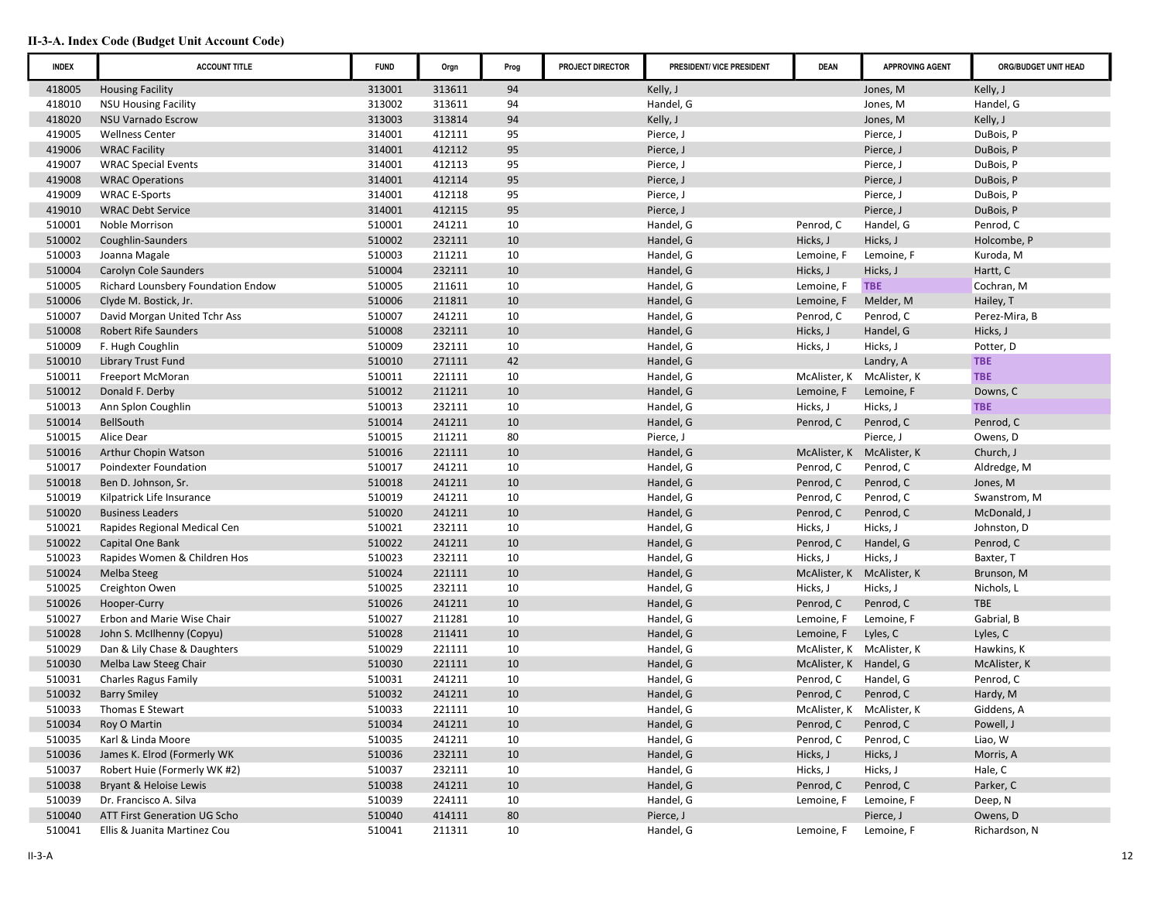| <b>INDEX</b> | <b>ACCOUNT TITLE</b>               | <b>FUND</b> | Orgn   | Prog | <b>PROJECT DIRECTOR</b> | PRESIDENT/ VICE PRESIDENT | <b>DEAN</b>               | <b>APPROVING AGENT</b> | ORG/BUDGET UNIT HEAD |
|--------------|------------------------------------|-------------|--------|------|-------------------------|---------------------------|---------------------------|------------------------|----------------------|
| 418005       | <b>Housing Facility</b>            | 313001      | 313611 | 94   |                         | Kelly, J                  |                           | Jones, M               | Kelly, J             |
| 418010       | <b>NSU Housing Facility</b>        | 313002      | 313611 | 94   |                         | Handel, G                 |                           | Jones, M               | Handel, G            |
| 418020       | <b>NSU Varnado Escrow</b>          | 313003      | 313814 | 94   |                         | Kelly, J                  |                           | Jones, M               | Kelly, J             |
| 419005       | <b>Wellness Center</b>             | 314001      | 412111 | 95   |                         | Pierce, J                 |                           | Pierce, J              | DuBois, P            |
| 419006       | <b>WRAC Facility</b>               | 314001      | 412112 | 95   |                         | Pierce, J                 |                           | Pierce, J              | DuBois, P            |
| 419007       | <b>WRAC Special Events</b>         | 314001      | 412113 | 95   |                         | Pierce, J                 |                           | Pierce, J              | DuBois, P            |
| 419008       | <b>WRAC Operations</b>             | 314001      | 412114 | 95   |                         | Pierce, J                 |                           | Pierce, J              | DuBois, P            |
| 419009       | <b>WRAC E-Sports</b>               | 314001      | 412118 | 95   |                         | Pierce, J                 |                           | Pierce, J              | DuBois, P            |
| 419010       | <b>WRAC Debt Service</b>           | 314001      | 412115 | 95   |                         | Pierce, J                 |                           | Pierce, J              | DuBois, P            |
| 510001       | <b>Noble Morrison</b>              | 510001      | 241211 | 10   |                         | Handel, G                 | Penrod, C                 | Handel, G              | Penrod, C            |
| 510002       | Coughlin-Saunders                  | 510002      | 232111 | 10   |                         | Handel, G                 | Hicks, J                  | Hicks, J               | Holcombe, P          |
| 510003       | Joanna Magale                      | 510003      | 211211 | 10   |                         | Handel, G                 | Lemoine, F                | Lemoine, F             | Kuroda, M            |
| 510004       | Carolyn Cole Saunders              | 510004      | 232111 | 10   |                         | Handel, G                 | Hicks, J                  | Hicks, J               | Hartt, C             |
| 510005       | Richard Lounsbery Foundation Endow | 510005      | 211611 | 10   |                         | Handel, G                 | Lemoine, F                | <b>TBE</b>             | Cochran, M           |
| 510006       | Clyde M. Bostick, Jr.              | 510006      | 211811 | 10   |                         | Handel, G                 | Lemoine, F                | Melder, M              | Hailey, T            |
| 510007       | David Morgan United Tchr Ass       | 510007      | 241211 | 10   |                         | Handel, G                 | Penrod, C                 | Penrod, C              | Perez-Mira, B        |
| 510008       | <b>Robert Rife Saunders</b>        | 510008      | 232111 | 10   |                         | Handel, G                 | Hicks, J                  | Handel, G              | Hicks, J             |
| 510009       | F. Hugh Coughlin                   | 510009      | 232111 | 10   |                         | Handel, G                 | Hicks, J                  | Hicks, J               | Potter, D            |
| 510010       | <b>Library Trust Fund</b>          | 510010      | 271111 | 42   |                         | Handel, G                 |                           | Landry, A              | <b>TBE</b>           |
| 510011       | Freeport McMoran                   | 510011      | 221111 | 10   |                         | Handel, G                 | McAlister, K              | McAlister, K           | <b>TBE</b>           |
| 510012       | Donald F. Derby                    | 510012      | 211211 | 10   |                         | Handel, G                 | Lemoine, F                | Lemoine, F             | Downs, C             |
| 510013       | Ann Splon Coughlin                 | 510013      | 232111 | 10   |                         | Handel, G                 | Hicks, J                  | Hicks, J               | <b>TBE</b>           |
| 510014       | BellSouth                          | 510014      | 241211 | 10   |                         | Handel, G                 | Penrod, C                 | Penrod, C              | Penrod, C            |
| 510015       | Alice Dear                         | 510015      | 211211 | 80   |                         | Pierce, J                 |                           | Pierce, J              | Owens, D             |
| 510016       | Arthur Chopin Watson               | 510016      | 221111 | 10   |                         | Handel, G                 | McAlister, K              | McAlister, K           | Church, J            |
| 510017       | <b>Poindexter Foundation</b>       | 510017      | 241211 | 10   |                         | Handel, G                 | Penrod, C                 | Penrod, C              | Aldredge, M          |
| 510018       | Ben D. Johnson, Sr.                | 510018      | 241211 | 10   |                         | Handel, G                 | Penrod, C                 | Penrod, C              | Jones, M             |
| 510019       | Kilpatrick Life Insurance          | 510019      | 241211 | 10   |                         | Handel, G                 | Penrod, C                 | Penrod, C              | Swanstrom, M         |
| 510020       | <b>Business Leaders</b>            | 510020      | 241211 | 10   |                         | Handel, G                 | Penrod, C                 | Penrod, C              | McDonald, J          |
| 510021       | Rapides Regional Medical Cen       | 510021      | 232111 | 10   |                         | Handel, G                 | Hicks, J                  | Hicks, J               | Johnston, D          |
| 510022       | Capital One Bank                   | 510022      | 241211 | 10   |                         | Handel, G                 | Penrod, C                 | Handel, G              | Penrod, C            |
| 510023       | Rapides Women & Children Hos       | 510023      | 232111 | 10   |                         | Handel, G                 | Hicks, J                  | Hicks, J               | Baxter, T            |
| 510024       | Melba Steeg                        | 510024      | 221111 | 10   |                         | Handel, G                 | McAlister, K              | McAlister, K           | Brunson, M           |
| 510025       | Creighton Owen                     | 510025      | 232111 | 10   |                         | Handel, G                 | Hicks, J                  | Hicks, J               | Nichols, L           |
| 510026       | Hooper-Curry                       | 510026      | 241211 | 10   |                         | Handel, G                 | Penrod, C                 | Penrod, C              | <b>TBE</b>           |
| 510027       | Erbon and Marie Wise Chair         | 510027      | 211281 | 10   |                         | Handel, G                 | Lemoine, F                | Lemoine, F             | Gabrial, B           |
| 510028       | John S. McIlhenny (Copyu)          | 510028      | 211411 | 10   |                         | Handel, G                 | Lemoine, F                | Lyles, C               | Lyles, C             |
| 510029       | Dan & Lily Chase & Daughters       | 510029      | 221111 | 10   |                         | Handel, G                 | McAlister, K McAlister, K |                        | Hawkins, K           |
| 510030       | Melba Law Steeg Chair              | 510030      | 221111 | 10   |                         | Handel, G                 | McAlister, K Handel, G    |                        | McAlister, K         |
| 510031       | <b>Charles Ragus Family</b>        | 510031      | 241211 | 10   |                         | Handel, G                 | Penrod, C                 | Handel, G              | Penrod, C            |
| 510032       | <b>Barry Smiley</b>                | 510032      | 241211 | 10   |                         | Handel, G                 | Penrod, C                 | Penrod, C              | Hardy, M             |
| 510033       | Thomas E Stewart                   | 510033      | 221111 | 10   |                         | Handel, G                 | McAlister, K McAlister, K |                        | Giddens, A           |
| 510034       | Roy O Martin                       | 510034      | 241211 | 10   |                         | Handel, G                 | Penrod, C                 | Penrod, C              | Powell, J            |
| 510035       | Karl & Linda Moore                 | 510035      | 241211 | 10   |                         | Handel, G                 | Penrod, C                 | Penrod, C              | Liao, W              |
| 510036       | James K. Elrod (Formerly WK        | 510036      | 232111 | 10   |                         | Handel, G                 | Hicks, J                  | Hicks, J               | Morris, A            |
| 510037       | Robert Huie (Formerly WK #2)       | 510037      | 232111 | 10   |                         | Handel, G                 | Hicks, J                  | Hicks, J               | Hale, C              |
| 510038       | Bryant & Heloise Lewis             | 510038      | 241211 | 10   |                         | Handel, G                 | Penrod, C                 | Penrod, C              | Parker, C            |
| 510039       | Dr. Francisco A. Silva             | 510039      | 224111 | 10   |                         | Handel, G                 | Lemoine, F                | Lemoine, F             | Deep, N              |
| 510040       | ATT First Generation UG Scho       | 510040      | 414111 | 80   |                         | Pierce, J                 |                           | Pierce, J              | Owens, D             |
| 510041       | Ellis & Juanita Martinez Cou       | 510041      | 211311 | 10   |                         | Handel, G                 | Lemoine, F                | Lemoine, F             | Richardson, N        |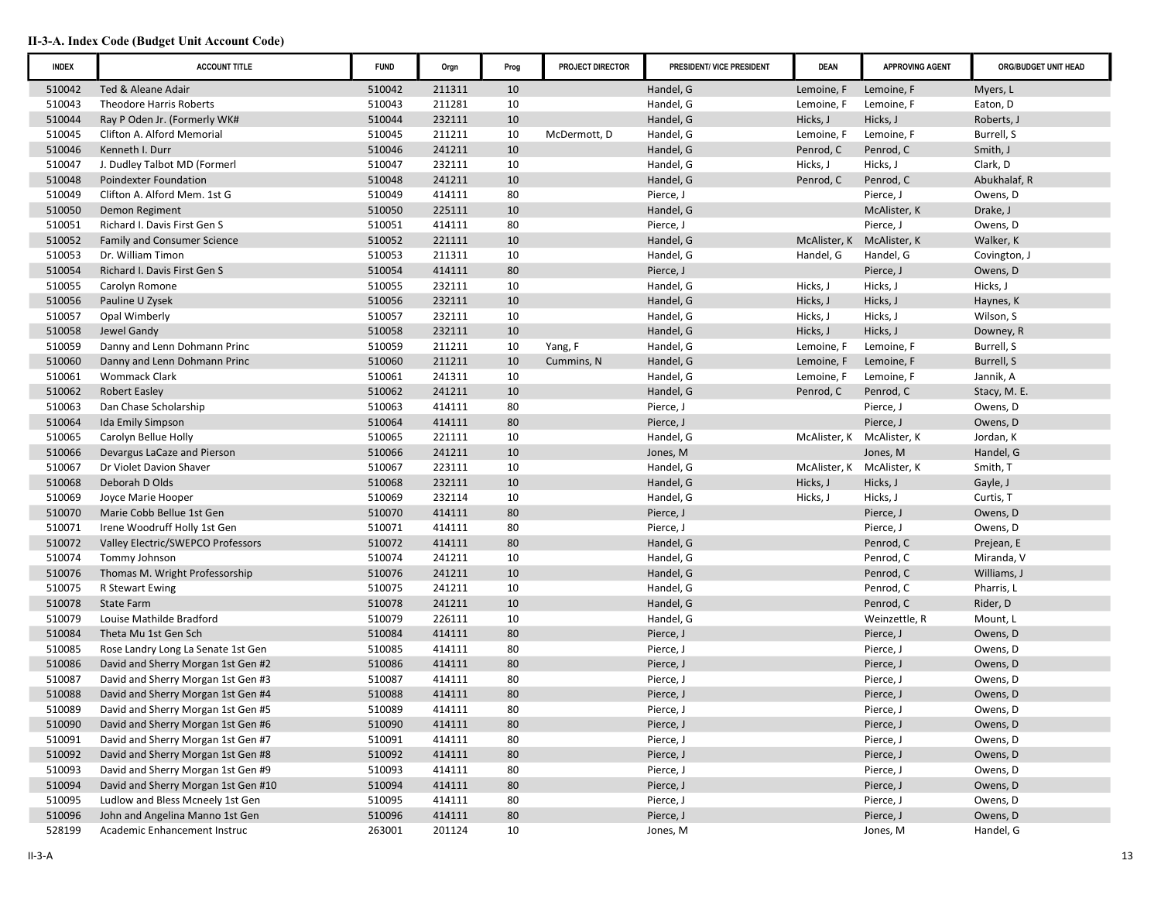| <b>INDEX</b> | <b>ACCOUNT TITLE</b>                | <b>FUND</b> | Orgn   | Prog   | PROJECT DIRECTOR | PRESIDENT/ VICE PRESIDENT | <b>DEAN</b>  | <b>APPROVING AGENT</b> | ORG/BUDGET UNIT HEAD |
|--------------|-------------------------------------|-------------|--------|--------|------------------|---------------------------|--------------|------------------------|----------------------|
| 510042       | Ted & Aleane Adair                  | 510042      | 211311 | 10     |                  | Handel, G                 | Lemoine, F   | Lemoine, F             | Myers, L             |
| 510043       | <b>Theodore Harris Roberts</b>      | 510043      | 211281 | 10     |                  | Handel, G                 | Lemoine, F   | Lemoine, F             | Eaton, D             |
| 510044       | Ray P Oden Jr. (Formerly WK#        | 510044      | 232111 | 10     |                  | Handel, G                 | Hicks, J     | Hicks, J               | Roberts, J           |
| 510045       | Clifton A. Alford Memorial          | 510045      | 211211 | 10     | McDermott, D     | Handel, G                 | Lemoine, F   | Lemoine, F             | Burrell, S           |
| 510046       | Kenneth I. Durr                     | 510046      | 241211 | 10     |                  | Handel, G                 | Penrod, C    | Penrod, C              | Smith, J             |
| 510047       | J. Dudley Talbot MD (Formerl        | 510047      | 232111 | 10     |                  | Handel, G                 | Hicks, J     | Hicks, J               | Clark, D             |
| 510048       | Poindexter Foundation               | 510048      | 241211 | 10     |                  | Handel, G                 | Penrod, C    | Penrod, C              | Abukhalaf, R         |
| 510049       | Clifton A. Alford Mem. 1st G        | 510049      | 414111 | 80     |                  | Pierce, J                 |              | Pierce, J              | Owens, D             |
| 510050       | Demon Regiment                      | 510050      | 225111 | 10     |                  | Handel, G                 |              | McAlister, K           | Drake, J             |
| 510051       | Richard I. Davis First Gen S        | 510051      | 414111 | 80     |                  | Pierce, J                 |              | Pierce, J              | Owens, D             |
| 510052       | <b>Family and Consumer Science</b>  | 510052      | 221111 | 10     |                  | Handel, G                 | McAlister, K | McAlister, K           | Walker, K            |
| 510053       | Dr. William Timon                   | 510053      | 211311 | 10     |                  | Handel, G                 | Handel, G    | Handel, G              | Covington, J         |
| 510054       | Richard I. Davis First Gen S        | 510054      | 414111 | 80     |                  | Pierce, J                 |              | Pierce, J              | Owens, D             |
| 510055       | Carolyn Romone                      | 510055      | 232111 | 10     |                  | Handel, G                 | Hicks, J     | Hicks, J               | Hicks, J             |
| 510056       | Pauline U Zysek                     | 510056      | 232111 | 10     |                  | Handel, G                 | Hicks, J     | Hicks, J               | Haynes, K            |
| 510057       | Opal Wimberly                       | 510057      | 232111 | 10     |                  | Handel, G                 | Hicks, J     | Hicks, J               | Wilson, S            |
| 510058       | Jewel Gandy                         | 510058      | 232111 | 10     |                  | Handel, G                 | Hicks, J     | Hicks, J               | Downey, R            |
| 510059       | Danny and Lenn Dohmann Princ        | 510059      | 211211 | 10     | Yang, F          | Handel, G                 | Lemoine, F   | Lemoine, F             | Burrell, S           |
| 510060       | Danny and Lenn Dohmann Princ        | 510060      | 211211 | 10     | Cummins, N       | Handel, G                 | Lemoine, F   | Lemoine, F             | Burrell, S           |
| 510061       | <b>Wommack Clark</b>                | 510061      | 241311 | 10     |                  | Handel, G                 | Lemoine, F   | Lemoine, F             | Jannik, A            |
| 510062       | <b>Robert Easley</b>                | 510062      | 241211 | 10     |                  | Handel, G                 | Penrod, C    | Penrod, C              | Stacy, M. E.         |
| 510063       | Dan Chase Scholarship               | 510063      | 414111 | 80     |                  | Pierce, J                 |              | Pierce, J              | Owens, D             |
| 510064       | <b>Ida Emily Simpson</b>            | 510064      | 414111 | 80     |                  | Pierce, J                 |              | Pierce, J              | Owens, D             |
| 510065       | Carolyn Bellue Holly                | 510065      | 221111 | 10     |                  | Handel, G                 | McAlister, K | McAlister, K           | Jordan, K            |
| 510066       | Devargus LaCaze and Pierson         | 510066      | 241211 | 10     |                  | Jones, M                  |              | Jones, M               | Handel, G            |
| 510067       | Dr Violet Davion Shaver             | 510067      | 223111 | 10     |                  | Handel, G                 | McAlister, K | McAlister, K           | Smith, T             |
| 510068       | Deborah D Olds                      | 510068      | 232111 | 10     |                  | Handel, G                 | Hicks, J     | Hicks, J               | Gayle, J             |
| 510069       | Joyce Marie Hooper                  | 510069      | 232114 | 10     |                  | Handel, G                 | Hicks, J     | Hicks, J               | Curtis, T            |
| 510070       | Marie Cobb Bellue 1st Gen           | 510070      | 414111 | 80     |                  | Pierce, J                 |              | Pierce, J              | Owens, D             |
| 510071       | Irene Woodruff Holly 1st Gen        | 510071      | 414111 | 80     |                  | Pierce, J                 |              | Pierce, J              | Owens, D             |
| 510072       | Valley Electric/SWEPCO Professors   | 510072      | 414111 | 80     |                  | Handel, G                 |              | Penrod, C              | Prejean, E           |
| 510074       | Tommy Johnson                       | 510074      | 241211 | 10     |                  | Handel, G                 |              | Penrod, C              | Miranda, V           |
| 510076       | Thomas M. Wright Professorship      | 510076      | 241211 | 10     |                  | Handel, G                 |              | Penrod, C              | Williams, J          |
| 510075       | R Stewart Ewing                     | 510075      | 241211 | 10     |                  | Handel, G                 |              | Penrod, C              | Pharris, L           |
| 510078       | <b>State Farm</b>                   | 510078      | 241211 | 10     |                  | Handel, G                 |              | Penrod, C              | Rider, D             |
| 510079       | Louise Mathilde Bradford            | 510079      | 226111 | 10     |                  | Handel, G                 |              | Weinzettle, R          | Mount, L             |
| 510084       | Theta Mu 1st Gen Sch                | 510084      | 414111 | 80     |                  | Pierce, J                 |              | Pierce, J              | Owens, D             |
| 510085       | Rose Landry Long La Senate 1st Gen  | 510085      | 414111 | 80     |                  | Pierce, J                 |              | Pierce, J              | Owens, D             |
| 510086       | David and Sherry Morgan 1st Gen #2  | 510086      | 414111 | 80     |                  | Pierce, J                 |              | Pierce, J              | Owens, D             |
| 510087       | David and Sherry Morgan 1st Gen #3  | 510087      | 414111 | 80     |                  | Pierce, J                 |              | Pierce, J              | Owens, D             |
| 510088       | David and Sherry Morgan 1st Gen #4  | 510088      | 414111 | 80     |                  | Pierce, J                 |              | Pierce, J              | Owens, D             |
| 510089       | David and Sherry Morgan 1st Gen #5  | 510089      | 414111 | 80     |                  | Pierce, J                 |              | Pierce, J              | Owens, D             |
| 510090       | David and Sherry Morgan 1st Gen #6  | 510090      | 414111 | 80     |                  | Pierce, J                 |              | Pierce, J              | Owens, D             |
| 510091       | David and Sherry Morgan 1st Gen #7  | 510091      | 414111 | 80     |                  | Pierce, J                 |              | Pierce, J              | Owens, D             |
| 510092       | David and Sherry Morgan 1st Gen #8  | 510092      | 414111 | 80     |                  | Pierce, J                 |              | Pierce, J              | Owens, D             |
| 510093       | David and Sherry Morgan 1st Gen #9  | 510093      | 414111 | 80     |                  | Pierce, J                 |              | Pierce, J              | Owens, D             |
| 510094       | David and Sherry Morgan 1st Gen #10 | 510094      | 414111 | $80\,$ |                  | Pierce, J                 |              | Pierce, J              | Owens, D             |
| 510095       | Ludlow and Bless Mcneely 1st Gen    | 510095      | 414111 | 80     |                  | Pierce, J                 |              | Pierce, J              | Owens, D             |
| 510096       | John and Angelina Manno 1st Gen     | 510096      | 414111 | $80\,$ |                  | Pierce, J                 |              | Pierce, J              | Owens, D             |
| 528199       | Academic Enhancement Instruc        | 263001      | 201124 | 10     |                  | Jones, M                  |              | Jones, M               | Handel, G            |